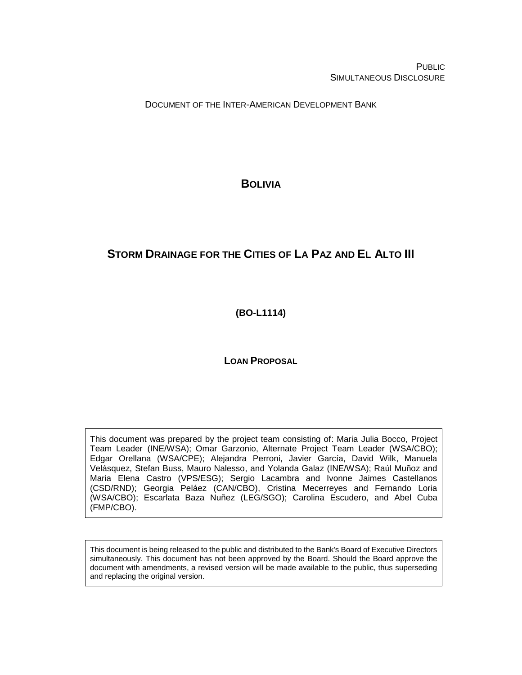**PUBLIC** SIMULTANEOUS DISCLOSURE

DOCUMENT OF THE INTER-AMERICAN DEVELOPMENT BANK

<span id="page-0-0"></span>**BOLIVIA**

# **STORM DRAINAGE FOR THE CITIES OF LA PAZ AND EL ALTO III**

<span id="page-0-1"></span>**(BO-L1114)**

# **LOAN PROPOSAL**

This document was prepared by the project team consisting of: Maria Julia Bocco, Project Team Leader (INE/WSA); Omar Garzonio, Alternate Project Team Leader (WSA/CBO); Edgar Orellana (WSA/CPE); Alejandra Perroni, Javier García, David Wilk, Manuela Velásquez, Stefan Buss, Mauro Nalesso, and Yolanda Galaz (INE/WSA); Raúl Muñoz and Maria Elena Castro (VPS/ESG); Sergio Lacambra and Ivonne Jaimes Castellanos (CSD/RND); Georgia Peláez (CAN/CBO), Cristina Mecerreyes and Fernando Loria (WSA/CBO); Escarlata Baza Nuñez (LEG/SGO); Carolina Escudero, and Abel Cuba (FMP/CBO).

This document is being released to the public and distributed to the Bank's Board of Executive Directors simultaneously. This document has not been approved by the Board. Should the Board approve the document with amendments, a revised version will be made available to the public, thus superseding and replacing the original version.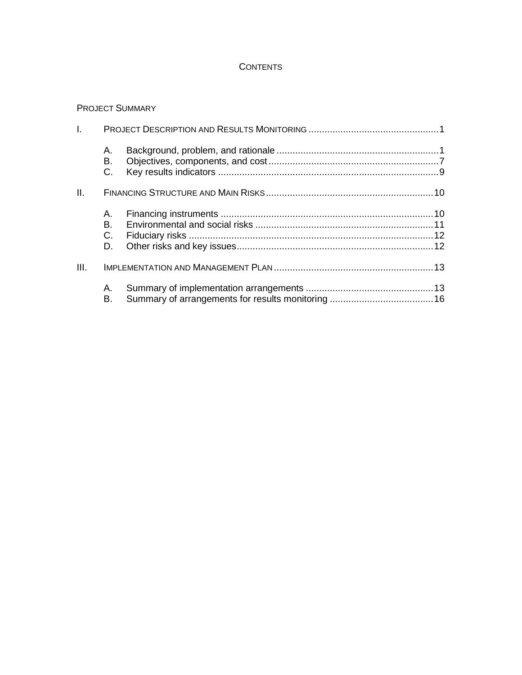## **CONTENTS**

# PROJECT SUMMARY

| L.   |                      |  |
|------|----------------------|--|
|      | А.<br>В.<br>C.       |  |
| II.  |                      |  |
|      | А.<br>В.<br>C.<br>D. |  |
| III. |                      |  |
|      | Α.<br>В.             |  |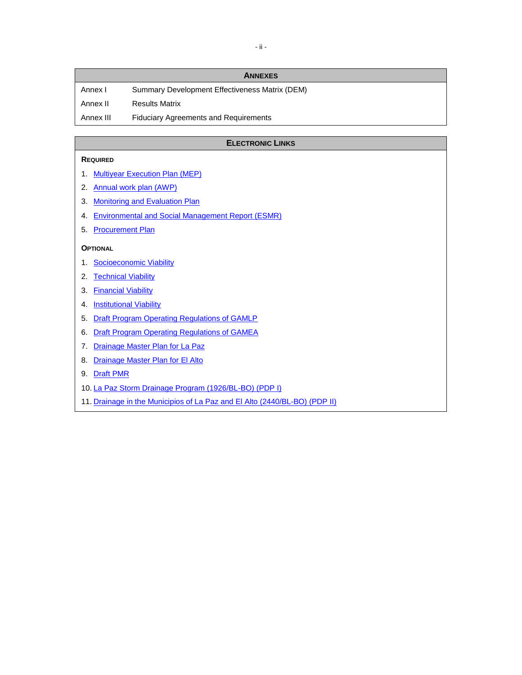|           | <b>ANNEXES</b>                                 |
|-----------|------------------------------------------------|
| Annex I   | Summary Development Effectiveness Matrix (DEM) |
| Annex II  | <b>Results Matrix</b>                          |
| Annex III | <b>Fiduciary Agreements and Requirements</b>   |

#### **ELECTRONIC LINKS**

#### **REQUIRED**

- 1. [Multiyear Execution Plan \(MEP\)](http://idbdocs.iadb.org/wsdocs/getDocument.aspx?DOCNUM=40485319)
- 2. [Annual work plan \(AWP\)](http://idbdocs.iadb.org/wsdocs/getDocument.aspx?DOCNUM=40541246)
- 3. [Monitoring and Evaluation Plan](http://idbdocs.iadb.org/wsdocs/getDocument.aspx?DOCNUM=40529084)
- 4. Environmental [and Social Management Report \(ESMR\)](http://idbdocs.iadb.org/wsdocs/getDocument.aspx?DOCNUM=40499003)
- 5. [Procurement Plan](http://idbdocs.iadb.org/wsdocs/getDocument.aspx?DOCNUM=40484909)

#### **OPTIONAL**

- 1. [Socioeconomic Viability](http://idbdocs.iadb.org/wsdocs/getDocument.aspx?DOCNUM=40528116)
- 2. [Technical Viability](http://idbdocs.iadb.org/wsdocs/getDocument.aspx?DOCNUM=40566707)
- 3. [Financial Viability](http://idbdocs.iadb.org/wsdocs/getDocument.aspx?DOCNUM=40476553)
- 4. [Institutional Viability](http://idbdocs.iadb.org/wsdocs/getDocument.aspx?DOCNUM=40480904)
- 5. [Draft Program Operating Regulations of GAMLP](http://idbdocs.iadb.org/wsdocs/getDocument.aspx?DOCNUM=40529770)
- 6. [Draft Program Operating Regulations of GAMEA](http://idbdocs.iadb.org/wsdocs/getDocument.aspx?DOCNUM=40529774)
- 7. [Drainage Master Plan for La](http://idbdocs.iadb.org/wsdocs/getDocument.aspx?DOCNUM=40579084) Paz
- 8. [Drainage Master Plan for El](http://idbdocs.iadb.org/wsdocs/getDocument.aspx?DOCNUM=40579065) Alto
- 9. [Draft PMR](http://idbdocs.iadb.org/wsdocs/getDocument.aspx?DOCNUM=40576467)
- 10. La Paz [Storm Drainage Program \(1926/BL-BO\) \(PDP I\)](http://idbdocs.iadb.org/wsdocs/getDocument.aspx?DOCNUM=40528784)
- 11. [Drainage in the Municipios of La](http://idbdocs.iadb.org/wsdocs/getDocument.aspx?DOCNUM=40528785) Paz and El Alto (2440/BL-BO) (PDP II)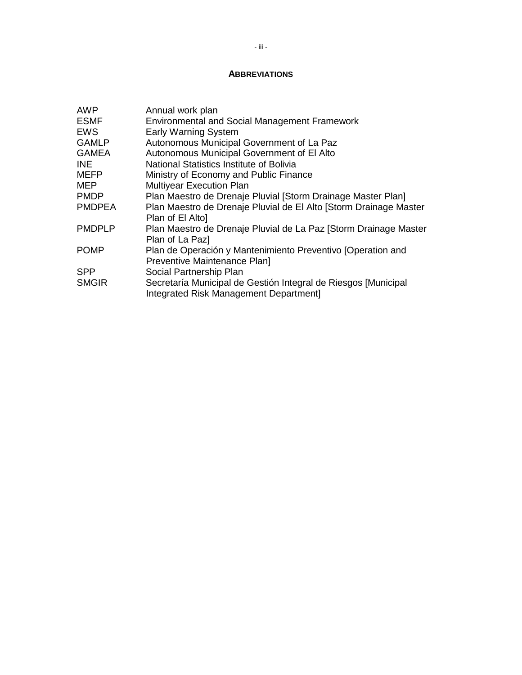#### **ABBREVIATIONS**

| <b>AWP</b>    | Annual work plan                                                                      |
|---------------|---------------------------------------------------------------------------------------|
| <b>ESMF</b>   | <b>Environmental and Social Management Framework</b>                                  |
| <b>EWS</b>    | <b>Early Warning System</b>                                                           |
| <b>GAMLP</b>  | Autonomous Municipal Government of La Paz                                             |
| <b>GAMEA</b>  | Autonomous Municipal Government of El Alto                                            |
| INE.          | National Statistics Institute of Bolivia                                              |
| <b>MEFP</b>   | Ministry of Economy and Public Finance                                                |
| <b>MEP</b>    | <b>Multiyear Execution Plan</b>                                                       |
| <b>PMDP</b>   | Plan Maestro de Drenaje Pluvial [Storm Drainage Master Plan]                          |
| <b>PMDPEA</b> | Plan Maestro de Drenaje Pluvial de El Alto [Storm Drainage Master<br>Plan of El Alto] |
| <b>PMDPLP</b> | Plan Maestro de Drenaje Pluvial de La Paz [Storm Drainage Master                      |
|               | Plan of La Paz]                                                                       |
| <b>POMP</b>   | Plan de Operación y Mantenimiento Preventivo [Operation and                           |
|               | Preventive Maintenance Plan]                                                          |
| <b>SPP</b>    | Social Partnership Plan                                                               |
| <b>SMGIR</b>  | Secretaría Municipal de Gestión Integral de Riesgos [Municipal                        |
|               | Integrated Risk Management Department]                                                |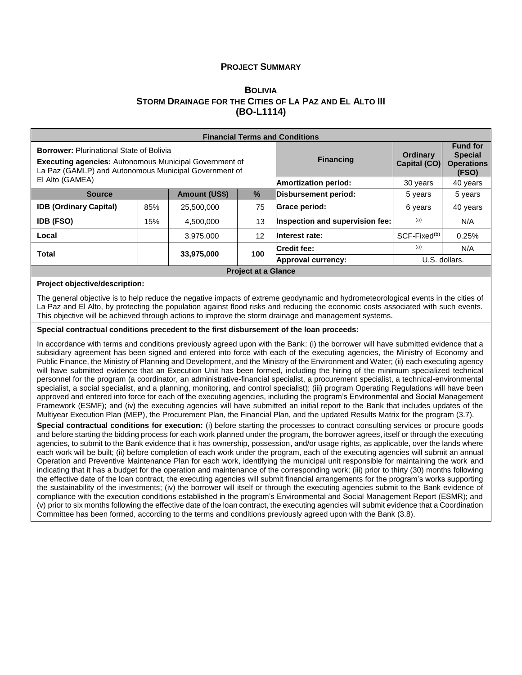#### **PROJECT SUMMARY**

#### **B[OLIVIA](#page-0-0) STORM DRAINAGE FOR THE CITIES OF LA PAZ AND EL ALTO III [\(BO-L1114\)](#page-0-1)**

| <b>Financial Terms and Conditions</b>                                                                                                                                     |     |                      |                             |                                 |                                                                 |          |  |  |  |  |
|---------------------------------------------------------------------------------------------------------------------------------------------------------------------------|-----|----------------------|-----------------------------|---------------------------------|-----------------------------------------------------------------|----------|--|--|--|--|
| <b>Borrower: Plurinational State of Bolivia</b><br><b>Executing agencies: Autonomous Municipal Government of</b><br>La Paz (GAMLP) and Autonomous Municipal Government of |     |                      | <b>Financing</b>            | <b>Ordinary</b><br>Capital (CO) | <b>Fund for</b><br><b>Special</b><br><b>Operations</b><br>(FSO) |          |  |  |  |  |
| El Alto (GAMEA)                                                                                                                                                           |     |                      | <b>Amortization period:</b> | 30 years                        | 40 years                                                        |          |  |  |  |  |
| <b>Source</b>                                                                                                                                                             |     | <b>Amount (US\$)</b> | Disbursement period:        | 5 years                         | 5 years                                                         |          |  |  |  |  |
| <b>IDB (Ordinary Capital)</b>                                                                                                                                             | 85% | 25,500,000           | 75                          | Grace period:                   | 6 years                                                         | 40 years |  |  |  |  |
| <b>IDB (FSO)</b>                                                                                                                                                          | 15% | 4.500.000            | 13                          | Inspection and supervision fee: | (a)                                                             | N/A      |  |  |  |  |
| Local                                                                                                                                                                     |     | 3.975.000            | 12                          | Interest rate:                  | SCF-Fixed <sup>(b)</sup>                                        | 0.25%    |  |  |  |  |
| <b>Total</b>                                                                                                                                                              |     | 33,975,000           | 100                         | Credit fee:                     | (a)                                                             | N/A      |  |  |  |  |
|                                                                                                                                                                           |     |                      | Approval currency:          | U.S. dollars.                   |                                                                 |          |  |  |  |  |
|                                                                                                                                                                           |     |                      | <b>Project at a Glance</b>  |                                 |                                                                 |          |  |  |  |  |

#### **Project objective/description:**

The general objective is to help reduce the negative impacts of extreme geodynamic and hydrometeorological events in the cities of La Paz and El Alto, by protecting the population against flood risks and reducing the economic costs associated with such events. This objective will be achieved through actions to improve the storm drainage and management systems.

#### **Special contractual conditions precedent to the first disbursement of the loan proceeds:**

In accordance with terms and conditions previously agreed upon with the Bank: (i) the borrower will have submitted evidence that a subsidiary agreement has been signed and entered into force with each of the executing agencies, the Ministry of Economy and Public Finance, the Ministry of Planning and Development, and the Ministry of the Environment and Water; (ii) each executing agency will have submitted evidence that an Execution Unit has been formed, including the hiring of the minimum specialized technical personnel for the program (a coordinator, an administrative-financial specialist, a procurement specialist, a technical-environmental specialist, a social specialist, and a planning, monitoring, and control specialist); (iii) program Operating Regulations will have been approved and entered into force for each of the executing agencies, including the program's Environmental and Social Management Framework (ESMF); and (iv) the executing agencies will have submitted an initial report to the Bank that includes updates of the Multiyear Execution Plan (MEP), the Procurement Plan, the Financial Plan, and the updated Results Matrix for the program (3.7).

**Special contractual conditions for execution:** (i) before starting the processes to contract consulting services or procure goods and before starting the bidding process for each work planned under the program, the borrower agrees, itself or through the executing agencies, to submit to the Bank evidence that it has ownership, possession, and/or usage rights, as applicable, over the lands where each work will be built; (ii) before completion of each work under the program, each of the executing agencies will submit an annual Operation and Preventive Maintenance Plan for each work, identifying the municipal unit responsible for maintaining the work and indicating that it has a budget for the operation and maintenance of the corresponding work; (iii) prior to thirty (30) months following the effective date of the loan contract, the executing agencies will submit financial arrangements for the program's works supporting the sustainability of the investments; (iv) the borrower will itself or through the executing agencies submit to the Bank evidence of compliance with the execution conditions established in the program's Environmental and Social Management Report (ESMR); and (v) prior to six months following the effective date of the loan contract, the executing agencies will submit evidence that a Coordination Committee has been formed, according to the terms and conditions previously agreed upon with the Bank (3.8).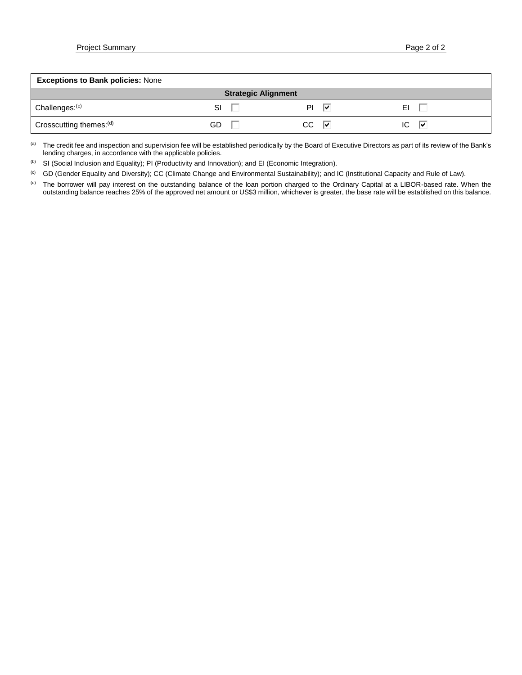| <b>Exceptions to Bank policies: None</b> |     |                            |     |    |   |  |  |  |  |  |
|------------------------------------------|-----|----------------------------|-----|----|---|--|--|--|--|--|
|                                          |     | <b>Strategic Alignment</b> |     |    |   |  |  |  |  |  |
| Challenges: <sup>(c)</sup>               | SI  |                            | ΡI  | ∣⊽ |   |  |  |  |  |  |
| Crosscutting themes: <sup>(d)</sup>      | GD. |                            | CC. | ∣V | ₩ |  |  |  |  |  |

(a) The credit fee and inspection and supervision fee will be established periodically by the Board of Executive Directors as part of its review of the Bank's lending charges, in accordance with the applicable policies.

(b) SI (Social Inclusion and Equality); PI (Productivity and Innovation); and EI (Economic Integration).

(c) GD (Gender Equality and Diversity); CC (Climate Change and Environmental Sustainability); and IC (Institutional Capacity and Rule of Law).

(d) The borrower will pay interest on the outstanding balance of the loan portion charged to the Ordinary Capital at a LIBOR-based rate. When the outstanding balance reaches 25% of the approved net amount or US\$3 million, whichever is greater, the base rate will be established on this balance.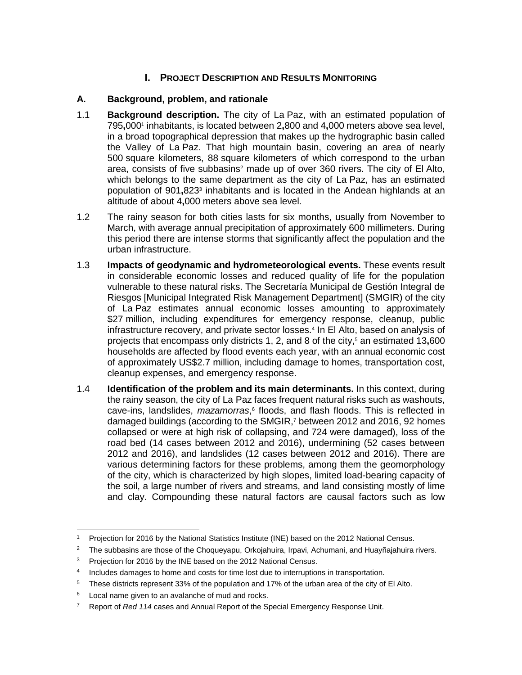# **I. PROJECT DESCRIPTION AND RESULTS MONITORING**

## **A. Background, problem, and rationale**

- 1.1 **Background description.** The city of La Paz, with an estimated population of 795**,**000<sup>1</sup> inhabitants, is located between 2**,**800 and 4**,**000 meters above sea level, in a broad topographical depression that makes up the hydrographic basin called the Valley of La Paz. That high mountain basin, covering an area of nearly 500 square kilometers, 88 square kilometers of which correspond to the urban area, consists of five subbasins<sup>2</sup> made up of over  $360$  rivers. The city of El Alto, which belongs to the same department as the city of La Paz, has an estimated population of 901,823<sup>3</sup> inhabitants and is located in the Andean highlands at an altitude of about 4**,**000 meters above sea level.
- 1.2 The rainy season for both cities lasts for six months, usually from November to March, with average annual precipitation of approximately 600 millimeters. During this period there are intense storms that significantly affect the population and the urban infrastructure.
- 1.3 **Impacts of geodynamic and hydrometeorological events.** These events result in considerable economic losses and reduced quality of life for the population vulnerable to these natural risks. The Secretaría Municipal de Gestión Integral de Riesgos [Municipal Integrated Risk Management Department] (SMGIR) of the city of La Paz estimates annual economic losses amounting to approximately \$27 million, including expenditures for emergency response, cleanup, public infrastructure recovery, and private sector losses.<sup>4</sup> In El Alto, based on analysis of projects that encompass only districts 1, 2, and 8 of the city,<sup>5</sup> an estimated 13**,**600 households are affected by flood events each year, with an annual economic cost of approximately US\$2.7 million, including damage to homes, transportation cost, cleanup expenses, and emergency response.
- 1.4 **Identification of the problem and its main determinants.** In this context, during the rainy season, the city of La Paz faces frequent natural risks such as washouts, cave-ins, landslides, *mazamorras*, 6 floods, and flash floods. This is reflected in damaged buildings (according to the SMGIR,<sup>7</sup> between 2012 and 2016, 92 homes collapsed or were at high risk of collapsing, and 724 were damaged), loss of the road bed (14 cases between 2012 and 2016), undermining (52 cases between 2012 and 2016), and landslides (12 cases between 2012 and 2016). There are various determining factors for these problems, among them the geomorphology of the city, which is characterized by high slopes, limited load-bearing capacity of the soil, a large number of rivers and streams, and land consisting mostly of lime and clay. Compounding these natural factors are causal factors such as low

<sup>2</sup> The subbasins are those of the Choqueyapu, Orkojahuira, Irpavi, Achumani, and Huayñajahuira rivers.

4 Includes damages to home and costs for time lost due to interruptions in transportation.

 $\overline{a}$ Projection for 2016 by the National Statistics Institute (INE) based on the 2012 National Census.

<sup>&</sup>lt;sup>3</sup> Projection for 2016 by the INE based on the 2012 National Census.

<sup>5</sup> These districts represent 33% of the population and 17% of the urban area of the city of El Alto.

<sup>&</sup>lt;sup>6</sup> Local name given to an avalanche of mud and rocks.

<sup>7</sup> Report of *Red 114* cases and Annual Report of the Special Emergency Response Unit.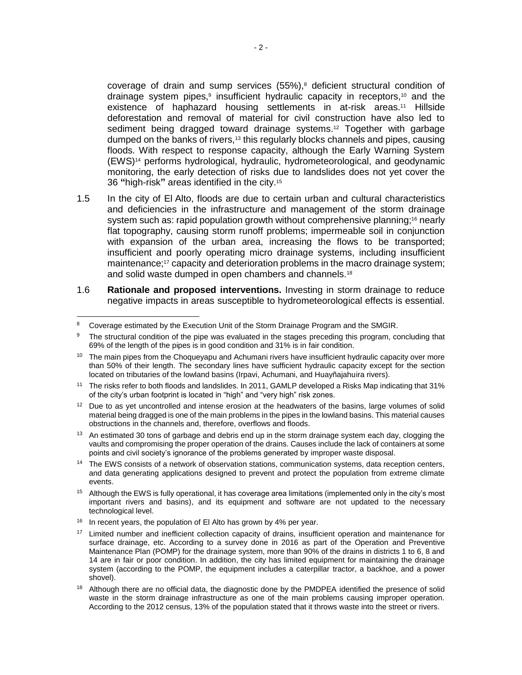coverage of drain and sump services (55%),<sup>8</sup> deficient structural condition of drainage system pipes,<sup>9</sup> insufficient hydraulic capacity in receptors,<sup>10</sup> and the existence of haphazard housing settlements in at-risk areas.<sup>11</sup> Hillside deforestation and removal of material for civil construction have also led to sediment being dragged toward drainage systems.<sup>12</sup> Together with garbage dumped on the banks of rivers,<sup>13</sup> this regularly blocks channels and pipes, causing floods. With respect to response capacity, although the Early Warning System (EWS)<sup>14</sup> performs hydrological, hydraulic, hydrometeorological, and geodynamic monitoring, the early detection of risks due to landslides does not yet cover the 36 **"**high-risk**"** areas identified in the city.<sup>15</sup>

- 1.5 In the city of El Alto, floods are due to certain urban and cultural characteristics and deficiencies in the infrastructure and management of the storm drainage system such as: rapid population growth without comprehensive planning;<sup>16</sup> nearly flat topography, causing storm runoff problems; impermeable soil in conjunction with expansion of the urban area, increasing the flows to be transported; insufficient and poorly operating micro drainage systems, including insufficient maintenance;<sup>17</sup> capacity and deterioration problems in the macro drainage system; and solid waste dumped in open chambers and channels.<sup>18</sup>
- 1.6 **Rationale and proposed interventions.** Investing in storm drainage to reduce negative impacts in areas susceptible to hydrometeorological effects is essential.

- $16$  In recent years, the population of El Alto has grown by 4% per year.
- <sup>17</sup> Limited number and inefficient collection capacity of drains, insufficient operation and maintenance for surface drainage, etc. According to a survey done in 2016 as part of the Operation and Preventive Maintenance Plan (POMP) for the drainage system, more than 90% of the drains in districts 1 to 6, 8 and 14 are in fair or poor condition. In addition, the city has limited equipment for maintaining the drainage system (according to the POMP, the equipment includes a caterpillar tractor, a backhoe, and a power shovel).
- <sup>18</sup> Although there are no official data, the diagnostic done by the PMDPEA identified the presence of solid waste in the storm drainage infrastructure as one of the main problems causing improper operation. According to the 2012 census, 13% of the population stated that it throws waste into the street or rivers.

 $\overline{a}$ <sup>8</sup> Coverage estimated by the Execution Unit of the Storm Drainage Program and the SMGIR.

<sup>&</sup>lt;sup>9</sup> The structural condition of the pipe was evaluated in the stages preceding this program, concluding that 69% of the length of the pipes is in good condition and 31% is in fair condition.

<sup>&</sup>lt;sup>10</sup> The main pipes from the Choqueyapu and Achumani rivers have insufficient hydraulic capacity over more than 50% of their length. The secondary lines have sufficient hydraulic capacity except for the section located on tributaries of the lowland basins (Irpavi, Achumani, and Huayñajahuira rivers).

<sup>11</sup> The risks refer to both floods and landslides. In 2011, GAMLP developed a Risks Map indicating that 31% of the city's urban footprint is located in "high" and "very high" risk zones.

 $12$  Due to as yet uncontrolled and intense erosion at the headwaters of the basins, large volumes of solid material being dragged is one of the main problems in the pipes in the lowland basins. This material causes obstructions in the channels and, therefore, overflows and floods.

<sup>&</sup>lt;sup>13</sup> An estimated 30 tons of garbage and debris end up in the storm drainage system each day, clogging the vaults and compromising the proper operation of the drains. Causes include the lack of containers at some points and civil society's ignorance of the problems generated by improper waste disposal.

<sup>&</sup>lt;sup>14</sup> The EWS consists of a network of observation stations, communication systems, data reception centers, and data generating applications designed to prevent and protect the population from extreme climate events.

<sup>&</sup>lt;sup>15</sup> Although the EWS is fully operational, it has coverage area limitations (implemented only in the city's most important rivers and basins), and its equipment and software are not updated to the necessary technological level.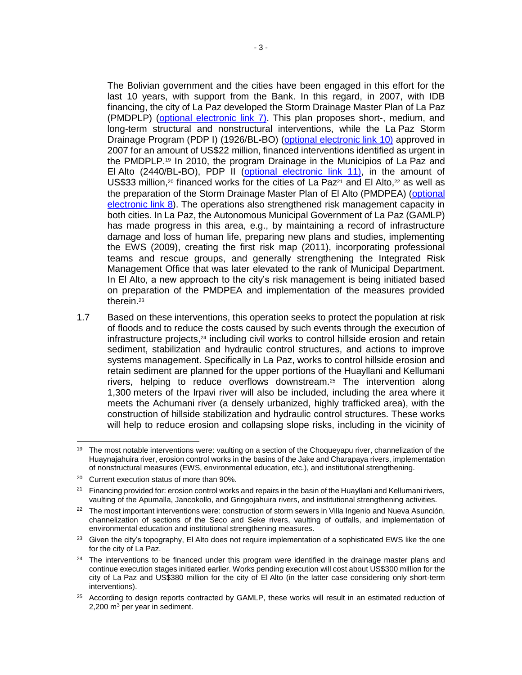The Bolivian government and the cities have been engaged in this effort for the last 10 years, with support from the Bank. In this regard, in 2007, with IDB financing, the city of La Paz developed the Storm Drainage Master Plan of La Paz (PMDPLP) [\(optional electronic link 7\)](http://idbdocs.iadb.org/wsdocs/getDocument.aspx?DOCNUM=40579084). This plan proposes short-, medium, and long-term structural and nonstructural interventions, while the La Paz Storm Drainage Program (PDP I) (1926/BL**-**BO) [\(optional electronic link 10\)](http://idbdocs.iadb.org/wsdocs/getDocument.aspx?DOCNUM=40528784) approved in 2007 for an amount of US\$22 million, financed interventions identified as urgent in the PMDPLP.<sup>19</sup> In 2010, the program Drainage in the Municipios of La Paz and El Alto (2440/BL**-**BO), PDP II [\(optional electronic link 11\)](http://idbdocs.iadb.org/wsdocs/getDocument.aspx?DOCNUM=40528785), in the amount of US\$33 million,<sup>20</sup> financed works for the cities of La Paz<sup>21</sup> and El Alto,<sup>22</sup> as well as the preparation of the Storm Drainage Master Plan of El Alto (PMDPEA) [\(optional](http://idbdocs.iadb.org/wsdocs/getDocument.aspx?DOCNUM=40579065)  [electronic link 8\)](http://idbdocs.iadb.org/wsdocs/getDocument.aspx?DOCNUM=40579065). The operations also strengthened risk management capacity in both cities. In La Paz, the Autonomous Municipal Government of La Paz (GAMLP) has made progress in this area, e.g., by maintaining a record of infrastructure damage and loss of human life, preparing new plans and studies, implementing the EWS (2009), creating the first risk map (2011), incorporating professional teams and rescue groups, and generally strengthening the Integrated Risk Management Office that was later elevated to the rank of Municipal Department. In El Alto, a new approach to the city's risk management is being initiated based on preparation of the PMDPEA and implementation of the measures provided therein.<sup>23</sup>

1.7 Based on these interventions, this operation seeks to protect the population at risk of floods and to reduce the costs caused by such events through the execution of infrastructure projects,<sup>24</sup> including civil works to control hillside erosion and retain sediment, stabilization and hydraulic control structures, and actions to improve systems management. Specifically in La Paz, works to control hillside erosion and retain sediment are planned for the upper portions of the Huayllani and Kellumani rivers, helping to reduce overflows downstream.<sup>25</sup> The intervention along 1,300 meters of the Irpavi river will also be included, including the area where it meets the Achumani river (a densely urbanized, highly trafficked area), with the construction of hillside stabilization and hydraulic control structures. These works will help to reduce erosion and collapsing slope risks, including in the vicinity of

<sup>&</sup>lt;sup>19</sup> The most notable interventions were: vaulting on a section of the Choqueyapu river, channelization of the Huaynajahuira river, erosion control works in the basins of the Jake and Charapaya rivers, implementation of nonstructural measures (EWS, environmental education, etc.), and institutional strengthening.

<sup>20</sup> Current execution status of more than 90%.

 $21$  Financing provided for: erosion control works and repairs in the basin of the Huayllani and Kellumani rivers, vaulting of the Apumalla, Jancokollo, and Gringojahuira rivers, and institutional strengthening activities.

<sup>&</sup>lt;sup>22</sup> The most important interventions were: construction of storm sewers in Villa Ingenio and Nueva Asunción, channelization of sections of the Seco and Seke rivers, vaulting of outfalls, and implementation of environmental education and institutional strengthening measures.

<sup>&</sup>lt;sup>23</sup> Given the city's topography, El Alto does not require implementation of a sophisticated EWS like the one for the city of La Paz.

<sup>&</sup>lt;sup>24</sup> The interventions to be financed under this program were identified in the drainage master plans and continue execution stages initiated earlier. Works pending execution will cost about US\$300 million for the city of La Paz and US\$380 million for the city of El Alto (in the latter case considering only short-term interventions).

<sup>&</sup>lt;sup>25</sup> According to design reports contracted by GAMLP, these works will result in an estimated reduction of  $2,200$  m<sup>3</sup> per year in sediment.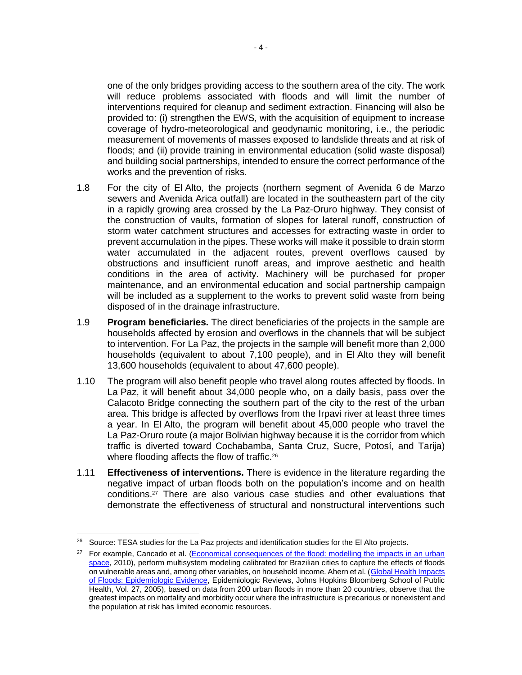one of the only bridges providing access to the southern area of the city. The work will reduce problems associated with floods and will limit the number of interventions required for cleanup and sediment extraction. Financing will also be provided to: (i) strengthen the EWS, with the acquisition of equipment to increase coverage of hydro-meteorological and geodynamic monitoring, i.e., the periodic measurement of movements of masses exposed to landslide threats and at risk of floods; and (ii) provide training in environmental education (solid waste disposal) and building social partnerships, intended to ensure the correct performance of the works and the prevention of risks.

- 1.8 For the city of El Alto, the projects (northern segment of Avenida 6 de Marzo sewers and Avenida Arica outfall) are located in the southeastern part of the city in a rapidly growing area crossed by the La Paz-Oruro highway. They consist of the construction of vaults, formation of slopes for lateral runoff, construction of storm water catchment structures and accesses for extracting waste in order to prevent accumulation in the pipes. These works will make it possible to drain storm water accumulated in the adjacent routes, prevent overflows caused by obstructions and insufficient runoff areas, and improve aesthetic and health conditions in the area of activity. Machinery will be purchased for proper maintenance, and an environmental education and social partnership campaign will be included as a supplement to the works to prevent solid waste from being disposed of in the drainage infrastructure.
- 1.9 **Program beneficiaries.** The direct beneficiaries of the projects in the sample are households affected by erosion and overflows in the channels that will be subject to intervention. For La Paz, the projects in the sample will benefit more than 2,000 households (equivalent to about 7,100 people), and in El Alto they will benefit 13,600 households (equivalent to about 47,600 people).
- 1.10 The program will also benefit people who travel along routes affected by floods. In La Paz, it will benefit about 34,000 people who, on a daily basis, pass over the Calacoto Bridge connecting the southern part of the city to the rest of the urban area. This bridge is affected by overflows from the Irpavi river at least three times a year. In El Alto, the program will benefit about 45,000 people who travel the La Paz-Oruro route (a major Bolivian highway because it is the corridor from which traffic is diverted toward Cochabamba, Santa Cruz, Sucre, Potosí, and Tarija) where flooding affects the flow of traffic.<sup>26</sup>
- 1.11 **Effectiveness of interventions.** There is evidence in the literature regarding the negative impact of urban floods both on the population's income and on health conditions.<sup>27</sup> There are also various case studies and other evaluations that demonstrate the effectiveness of structural and nonstructural interventions such

<sup>&</sup>lt;sup>26</sup> Source: TESA studies for the La Paz projects and identification studies for the El Alto projects.

<sup>&</sup>lt;sup>27</sup> For example, Cancado et al. (Economical consequences of the flood: modelling the impacts in an urban [space,](http://idbdocs.iadb.org/wsdocs/getDocument.aspx?DOCNUM=40500091) 2010), perform multisystem modeling calibrated for Brazilian cities to capture the effects of floods on vulnerable areas and, among other variables, on household income. Ahern et al. [\(Global Health Impacts](http://idbdocs.iadb.org/wsdocs/getDocument.aspx?DOCNUM=40500090)  [of Floods: Epidemiologic Evidence,](http://idbdocs.iadb.org/wsdocs/getDocument.aspx?DOCNUM=40500090) Epidemiologic Reviews, Johns Hopkins Bloomberg School of Public Health, Vol. 27, 2005), based on data from 200 urban floods in more than 20 countries, observe that the greatest impacts on mortality and morbidity occur where the infrastructure is precarious or nonexistent and the population at risk has limited economic resources.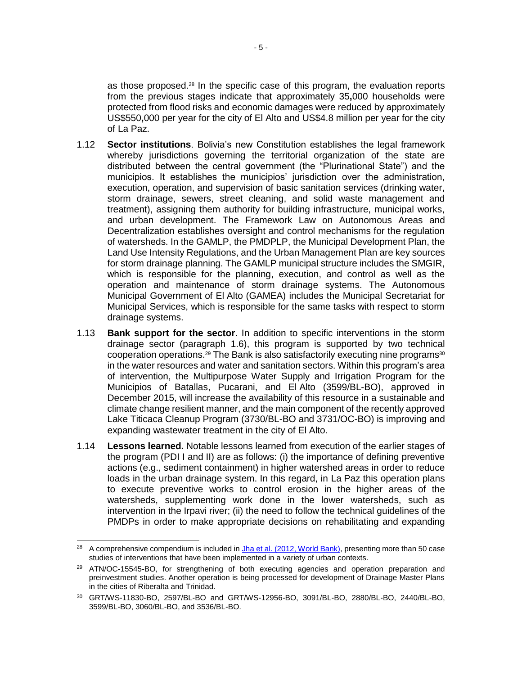as those proposed.<sup>28</sup> In the specific case of this program, the evaluation reports from the previous stages indicate that approximately 35**,**000 households were protected from flood risks and economic damages were reduced by approximately US\$550**,**000 per year for the city of El Alto and US\$4.8 million per year for the city of La Paz.

- 1.12 **Sector institutions**. Bolivia's new Constitution establishes the legal framework whereby jurisdictions governing the territorial organization of the state are distributed between the central government (the "Plurinational State") and the municipios. It establishes the municipios' jurisdiction over the administration, execution, operation, and supervision of basic sanitation services (drinking water, storm drainage, sewers, street cleaning, and solid waste management and treatment), assigning them authority for building infrastructure, municipal works, and urban development. The Framework Law on Autonomous Areas and Decentralization establishes oversight and control mechanisms for the regulation of watersheds. In the GAMLP, the PMDPLP, the Municipal Development Plan, the Land Use Intensity Regulations, and the Urban Management Plan are key sources for storm drainage planning. The GAMLP municipal structure includes the SMGIR, which is responsible for the planning, execution, and control as well as the operation and maintenance of storm drainage systems. The Autonomous Municipal Government of El Alto (GAMEA) includes the Municipal Secretariat for Municipal Services, which is responsible for the same tasks with respect to storm drainage systems.
- 1.13 **Bank support for the sector**. In addition to specific interventions in the storm drainage sector (paragraph 1.6), this program is supported by two technical cooperation operations.<sup>29</sup> The Bank is also satisfactorily executing nine programs<sup>30</sup> in the water resources and water and sanitation sectors. Within this program's area of intervention, the Multipurpose Water Supply and Irrigation Program for the Municipios of Batallas, Pucarani, and El Alto (3599/BL-BO), approved in December 2015, will increase the availability of this resource in a sustainable and climate change resilient manner, and the main component of the recently approved Lake Titicaca Cleanup Program (3730/BL-BO and 3731/OC-BO) is improving and expanding wastewater treatment in the city of El Alto.
- 1.14 **Lessons learned.** Notable lessons learned from execution of the earlier stages of the program (PDI I and II) are as follows: (i) the importance of defining preventive actions (e.g., sediment containment) in higher watershed areas in order to reduce loads in the urban drainage system. In this regard, in La Paz this operation plans to execute preventive works to control erosion in the higher areas of the watersheds, supplementing work done in the lower watersheds, such as intervention in the Irpavi river; (ii) the need to follow the technical guidelines of the PMDPs in order to make appropriate decisions on rehabilitating and expanding

 $\overline{a}$ 

<sup>&</sup>lt;sup>28</sup> A comprehensive compendium is included i[n Jha et al. \(2012, World Bank\),](http://idbdocs.iadb.org/wsdocs/getDocument.aspx?DOCNUM=40500092) presenting more than 50 case studies of interventions that have been implemented in a variety of urban contexts.

<sup>&</sup>lt;sup>29</sup> ATN/OC-15545-BO, for strengthening of both executing agencies and operation preparation and preinvestment studies. Another operation is being processed for development of Drainage Master Plans in the cities of Riberalta and Trinidad.

<sup>30</sup> GRT/WS-11830-BO, 2597/BL-BO and GRT/WS-12956-BO, 3091/BL-BO, 2880/BL-BO, 2440/BL-BO, 3599/BL-BO, 3060/BL-BO, and 3536/BL-BO.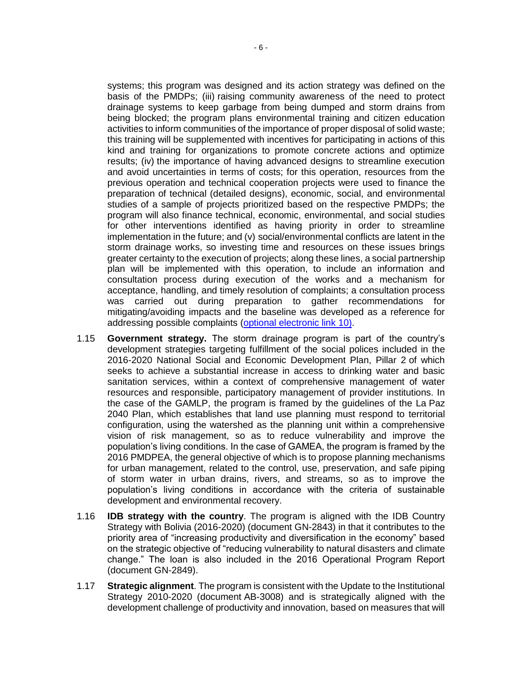systems; this program was designed and its action strategy was defined on the basis of the PMDPs; (iii) raising community awareness of the need to protect drainage systems to keep garbage from being dumped and storm drains from being blocked; the program plans environmental training and citizen education activities to inform communities of the importance of proper disposal of solid waste; this training will be supplemented with incentives for participating in actions of this kind and training for organizations to promote concrete actions and optimize results; (iv) the importance of having advanced designs to streamline execution and avoid uncertainties in terms of costs; for this operation, resources from the previous operation and technical cooperation projects were used to finance the preparation of technical (detailed designs), economic, social, and environmental studies of a sample of projects prioritized based on the respective PMDPs; the program will also finance technical, economic, environmental, and social studies for other interventions identified as having priority in order to streamline implementation in the future; and (v) social/environmental conflicts are latent in the storm drainage works, so investing time and resources on these issues brings greater certainty to the execution of projects; along these lines, a social partnership plan will be implemented with this operation, to include an information and consultation process during execution of the works and a mechanism for acceptance, handling, and timely resolution of complaints; a consultation process was carried out during preparation to gather recommendations for mitigating/avoiding impacts and the baseline was developed as a reference for addressing possible complaints [\(optional electronic link 10\)](http://idbdocs.iadb.org/wsdocs/getDocument.aspx?DOCNUM=40528784).

- 1.15 **Government strategy.** The storm drainage program is part of the country's development strategies targeting fulfillment of the social polices included in the 2016-2020 National Social and Economic Development Plan, Pillar 2 of which seeks to achieve a substantial increase in access to drinking water and basic sanitation services, within a context of comprehensive management of water resources and responsible, participatory management of provider institutions. In the case of the GAMLP, the program is framed by the guidelines of the La Paz 2040 Plan, which establishes that land use planning must respond to territorial configuration, using the watershed as the planning unit within a comprehensive vision of risk management, so as to reduce vulnerability and improve the population's living conditions. In the case of GAMEA, the program is framed by the 2016 PMDPEA, the general objective of which is to propose planning mechanisms for urban management, related to the control, use, preservation, and safe piping of storm water in urban drains, rivers, and streams, so as to improve the population's living conditions in accordance with the criteria of sustainable development and environmental recovery.
- 1.16 **IDB strategy with the country**. The program is aligned with the IDB Country Strategy with Bolivia (2016-2020) (document GN-2843) in that it contributes to the priority area of "increasing productivity and diversification in the economy" based on the strategic objective of "reducing vulnerability to natural disasters and climate change." The loan is also included in the 2016 Operational Program Report (document GN-2849).
- 1.17 **Strategic alignment**. The program is consistent with the Update to the Institutional Strategy 2010-2020 (document AB-3008) and is strategically aligned with the development challenge of productivity and innovation, based on measures that will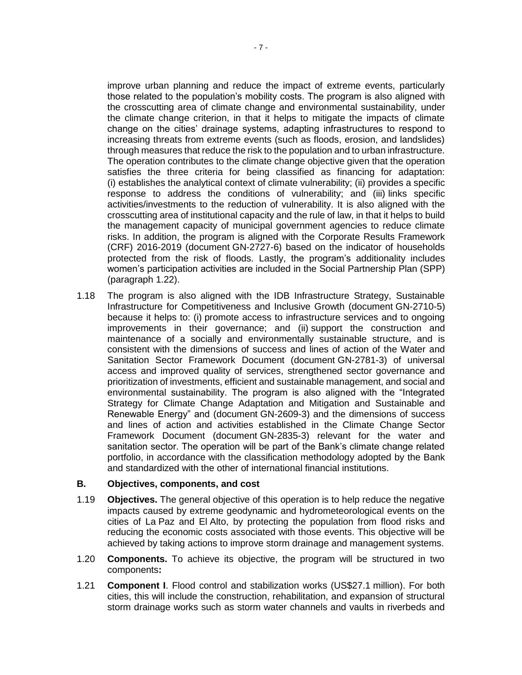improve urban planning and reduce the impact of extreme events, particularly those related to the population's mobility costs. The program is also aligned with the crosscutting area of climate change and environmental sustainability, under the climate change criterion, in that it helps to mitigate the impacts of climate change on the cities' drainage systems, adapting infrastructures to respond to increasing threats from extreme events (such as floods, erosion, and landslides) through measures that reduce the risk to the population and to urban infrastructure. The operation contributes to the climate change objective given that the operation satisfies the three criteria for being classified as financing for adaptation: (i) establishes the analytical context of climate vulnerability; (ii) provides a specific response to address the conditions of vulnerability; and (iii) links specific activities/investments to the reduction of vulnerability. It is also aligned with the crosscutting area of institutional capacity and the rule of law, in that it helps to build the management capacity of municipal government agencies to reduce climate risks. In addition, the program is aligned with the Corporate Results Framework (CRF) 2016-2019 (document GN-2727-6) based on the indicator of households protected from the risk of floods. Lastly, the program's additionality includes women's participation activities are included in the Social Partnership Plan (SPP) (paragraph 1.22).

1.18 The program is also aligned with the IDB Infrastructure Strategy, Sustainable Infrastructure for Competitiveness and Inclusive Growth (document GN-2710-5) because it helps to: (i) promote access to infrastructure services and to ongoing improvements in their governance; and (ii) support the construction and maintenance of a socially and environmentally sustainable structure, and is consistent with the dimensions of success and lines of action of the Water and Sanitation Sector Framework Document (document GN-2781-3) of universal access and improved quality of services, strengthened sector governance and prioritization of investments, efficient and sustainable management, and social and environmental sustainability. The program is also aligned with the "Integrated Strategy for Climate Change Adaptation and Mitigation and Sustainable and Renewable Energy" and (document GN-2609-3) and the dimensions of success and lines of action and activities established in the Climate Change Sector Framework Document (document GN-2835-3) relevant for the water and sanitation sector. The operation will be part of the Bank's climate change related portfolio, in accordance with the classification methodology adopted by the Bank and standardized with the other of international financial institutions.

#### **B. Objectives, components, and cost**

- 1.19 **Objectives.** The general objective of this operation is to help reduce the negative impacts caused by extreme geodynamic and hydrometeorological events on the cities of La Paz and El Alto, by protecting the population from flood risks and reducing the economic costs associated with those events. This objective will be achieved by taking actions to improve storm drainage and management systems.
- 1.20 **Components.** To achieve its objective, the program will be structured in two components**:**
- 1.21 **Component I**. Flood control and stabilization works (US\$27.1 million). For both cities, this will include the construction, rehabilitation, and expansion of structural storm drainage works such as storm water channels and vaults in riverbeds and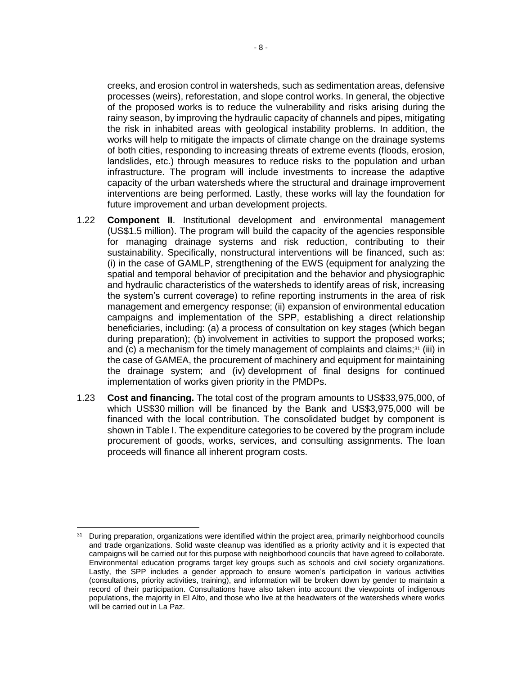creeks, and erosion control in watersheds, such as sedimentation areas, defensive processes (weirs), reforestation, and slope control works. In general, the objective of the proposed works is to reduce the vulnerability and risks arising during the rainy season, by improving the hydraulic capacity of channels and pipes, mitigating the risk in inhabited areas with geological instability problems. In addition, the works will help to mitigate the impacts of climate change on the drainage systems of both cities, responding to increasing threats of extreme events (floods, erosion, landslides, etc.) through measures to reduce risks to the population and urban infrastructure. The program will include investments to increase the adaptive capacity of the urban watersheds where the structural and drainage improvement interventions are being performed. Lastly, these works will lay the foundation for future improvement and urban development projects.

- 1.22 **Component II**. Institutional development and environmental management (US\$1.5 million). The program will build the capacity of the agencies responsible for managing drainage systems and risk reduction, contributing to their sustainability. Specifically, nonstructural interventions will be financed, such as: (i) in the case of GAMLP, strengthening of the EWS (equipment for analyzing the spatial and temporal behavior of precipitation and the behavior and physiographic and hydraulic characteristics of the watersheds to identify areas of risk, increasing the system's current coverage) to refine reporting instruments in the area of risk management and emergency response; (ii) expansion of environmental education campaigns and implementation of the SPP, establishing a direct relationship beneficiaries, including: (a) a process of consultation on key stages (which began during preparation); (b) involvement in activities to support the proposed works; and (c) a mechanism for the timely management of complaints and claims; $31$  (iii) in the case of GAMEA, the procurement of machinery and equipment for maintaining the drainage system; and (iv) development of final designs for continued implementation of works given priority in the PMDPs.
- 1.23 **Cost and financing.** The total cost of the program amounts to US\$33,975,000, of which US\$30 million will be financed by the Bank and US\$3,975,000 will be financed with the local contribution. The consolidated budget by component is shown in Table I. The expenditure categories to be covered by the program include procurement of goods, works, services, and consulting assignments. The loan proceeds will finance all inherent program costs.

<sup>&</sup>lt;sup>31</sup> During preparation, organizations were identified within the project area, primarily neighborhood councils and trade organizations. Solid waste cleanup was identified as a priority activity and it is expected that campaigns will be carried out for this purpose with neighborhood councils that have agreed to collaborate. Environmental education programs target key groups such as schools and civil society organizations. Lastly, the SPP includes a gender approach to ensure women's participation in various activities (consultations, priority activities, training), and information will be broken down by gender to maintain a record of their participation. Consultations have also taken into account the viewpoints of indigenous populations, the majority in El Alto, and those who live at the headwaters of the watersheds where works will be carried out in La Paz.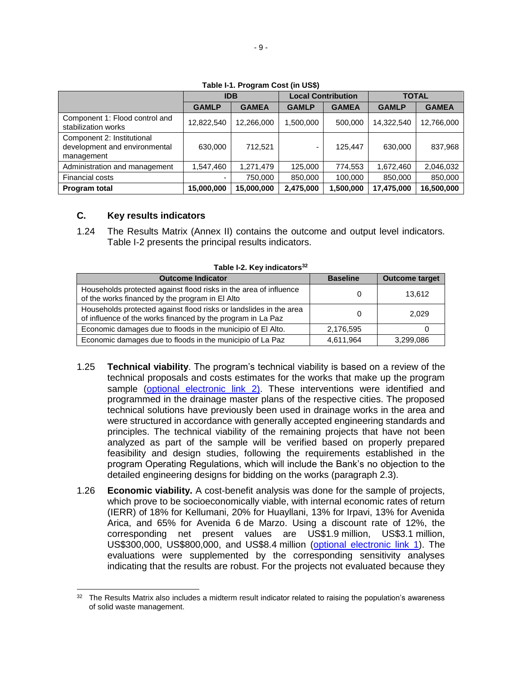|                                                                           | <b>IDB</b>   |              |              | <b>Local Contribution</b> | TOTAL        |              |  |
|---------------------------------------------------------------------------|--------------|--------------|--------------|---------------------------|--------------|--------------|--|
|                                                                           | <b>GAMLP</b> | <b>GAMEA</b> | <b>GAMLP</b> | <b>GAMEA</b>              | <b>GAMLP</b> | <b>GAMEA</b> |  |
| Component 1: Flood control and<br>stabilization works                     | 12,822,540   | 12,266,000   | 1,500,000    | 500,000                   | 14,322,540   | 12,766,000   |  |
| Component 2: Institutional<br>development and environmental<br>management | 630,000      | 712,521      | -            | 125.447                   | 630,000      | 837,968      |  |
| Administration and management                                             | 1,547,460    | 1,271,479    | 125,000      | 774,553                   | 1,672,460    | 2,046,032    |  |
| <b>Financial costs</b>                                                    | ۰            | 750,000      | 850,000      | 100,000                   | 850,000      | 850,000      |  |
| <b>Program total</b>                                                      | 15,000,000   | 15,000,000   | 2,475,000    | ,500,000                  | 17,475,000   | 16,500,000   |  |

**Table I-1. Program Cost (in US\$)**

## **C. Key results indicators**

 $\overline{a}$ 

1.24 The Results Matrix (Annex II) contains the outcome and output level indicators. Table I-2 presents the principal results indicators.

| <b>Outcome Indicator</b>                                                                                                          | <b>Baseline</b> | <b>Outcome target</b> |
|-----------------------------------------------------------------------------------------------------------------------------------|-----------------|-----------------------|
| Households protected against flood risks in the area of influence<br>of the works financed by the program in El Alto              |                 | 13,612                |
| Households protected against flood risks or landslides in the area<br>of influence of the works financed by the program in La Paz |                 | 2.029                 |
| Economic damages due to floods in the municipio of El Alto.                                                                       | 2,176,595       |                       |
| Economic damages due to floods in the municipio of La Paz                                                                         | 4,611,964       | 3,299,086             |

**Table I-2. Key indicators<sup>32</sup>**

- 1.25 **Technical viability**. The program's technical viability is based on a review of the technical proposals and costs estimates for the works that make up the program sample [\(optional electronic link 2\)](http://idbdocs.iadb.org/wsdocs/getDocument.aspx?DOCNUM=40566707). These interventions were identified and programmed in the drainage master plans of the respective cities. The proposed technical solutions have previously been used in drainage works in the area and were structured in accordance with generally accepted engineering standards and principles. The technical viability of the remaining projects that have not been analyzed as part of the sample will be verified based on properly prepared feasibility and design studies, following the requirements established in the program Operating Regulations, which will include the Bank's no objection to the detailed engineering designs for bidding on the works (paragraph 2.3).
- 1.26 **Economic viability.** A cost-benefit analysis was done for the sample of projects, which prove to be socioeconomically viable, with internal economic rates of return (IERR) of 18% for Kellumani, 20% for Huayllani, 13% for Irpavi, 13% for Avenida Arica, and 65% for Avenida 6 de Marzo. Using a discount rate of 12%, the corresponding net present values are US\$1.9 million, US\$3.1 million, US\$300,000, US\$800,000, and US\$8.4 million [\(optional electronic link 1\)](http://idbdocs.iadb.org/wsdocs/getDocument.aspx?DOCNUM=40528116). The evaluations were supplemented by the corresponding sensitivity analyses indicating that the results are robust. For the projects not evaluated because they

<sup>32</sup> The Results Matrix also includes a midterm result indicator related to raising the population's awareness of solid waste management.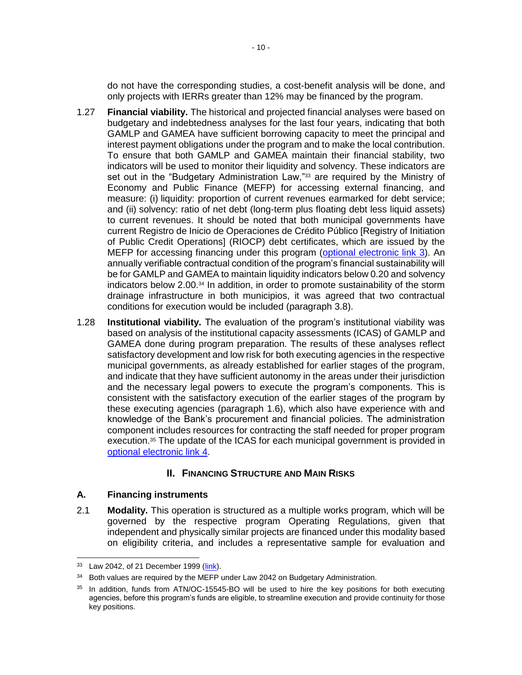do not have the corresponding studies, a cost-benefit analysis will be done, and only projects with IERRs greater than 12% may be financed by the program.

- 1.27 **Financial viability.** The historical and projected financial analyses were based on budgetary and indebtedness analyses for the last four years, indicating that both GAMLP and GAMEA have sufficient borrowing capacity to meet the principal and interest payment obligations under the program and to make the local contribution. To ensure that both GAMLP and GAMEA maintain their financial stability, two indicators will be used to monitor their liquidity and solvency. These indicators are set out in the "Budgetary Administration Law,"<sup>33</sup> are required by the Ministry of Economy and Public Finance (MEFP) for accessing external financing, and measure: (i) liquidity: proportion of current revenues earmarked for debt service; and (ii) solvency: ratio of net debt (long-term plus floating debt less liquid assets) to current revenues. It should be noted that both municipal governments have current Registro de Inicio de Operaciones de Crédito Público [Registry of Initiation of Public Credit Operations] (RIOCP) debt certificates, which are issued by the MEFP for accessing financing under this program [\(optional electronic link 3\)](http://idbdocs.iadb.org/wsdocs/getDocument.aspx?DOCNUM=40476553). An annually verifiable contractual condition of the program's financial sustainability will be for GAMLP and GAMEA to maintain liquidity indicators below 0.20 and solvency indicators below 2.00.<sup>34</sup> In addition, in order to promote sustainability of the storm drainage infrastructure in both municipios, it was agreed that two contractual conditions for execution would be included (paragraph 3.8).
- 1.28 **Institutional viability.** The evaluation of the program's institutional viability was based on analysis of the institutional capacity assessments (ICAS) of GAMLP and GAMEA done during program preparation. The results of these analyses reflect satisfactory development and low risk for both executing agencies in the respective municipal governments, as already established for earlier stages of the program, and indicate that they have sufficient autonomy in the areas under their jurisdiction and the necessary legal powers to execute the program's components. This is consistent with the satisfactory execution of the earlier stages of the program by these executing agencies (paragraph 1.6), which also have experience with and knowledge of the Bank's procurement and financial policies. The administration component includes resources for contracting the staff needed for proper program execution.<sup>35</sup> The update of the ICAS for each municipal government is provided in [optional electronic link 4.](http://idbdocs.iadb.org/wsdocs/getDocument.aspx?DOCNUM=40480904)

# **II. FINANCING STRUCTURE AND MAIN RISKS**

#### **A. Financing instruments**

2.1 **Modality.** This operation is structured as a multiple works program, which will be governed by the respective program Operating Regulations, given that independent and physically similar projects are financed under this modality based on eligibility criteria, and includes a representative sample for evaluation and

 $\overline{a}$ 

<sup>33</sup> Law 2042, of 21 December 1999 [\(link\)](http://idbdocs.iadb.org/wsdocs/getDocument.aspx?DOCNUM=40476552).

 $34$  Both values are required by the MEFP under Law 2042 on Budgetary Administration.

<sup>&</sup>lt;sup>35</sup> In addition, funds from ATN/OC-15545-BO will be used to hire the key positions for both executing agencies, before this program's funds are eligible, to streamline execution and provide continuity for those key positions.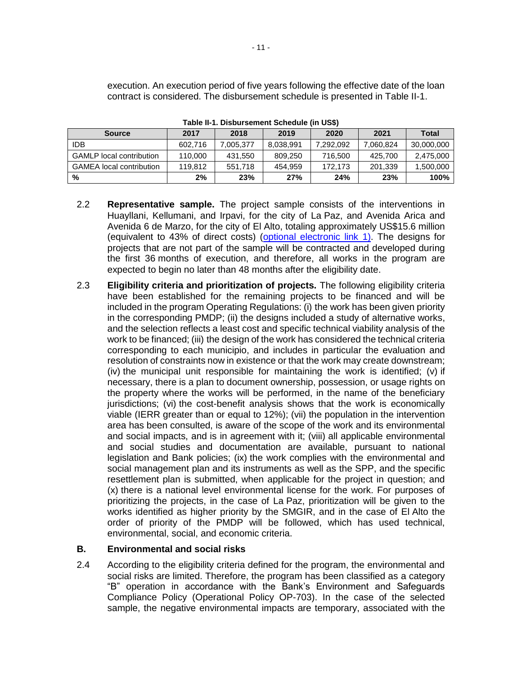execution. An execution period of five years following the effective date of the loan contract is considered. The disbursement schedule is presented in Table II-1.

| <b>Source</b>                   | 2017    | 2018      | 2019      | 2020      | 2021      | <b>Total</b> |
|---------------------------------|---------|-----------|-----------|-----------|-----------|--------------|
| idb                             | 602.716 | 7.005.377 | 8.038.991 | 7.292.092 | 7.060.824 | 30,000,000   |
| <b>GAMLP</b> local contribution | 110,000 | 431,550   | 809.250   | 716.500   | 425.700   | 2,475,000    |
| <b>GAMEA</b> local contribution | 119.812 | 551.718   | 454.959   | 172.173   | 201,339   | 1,500,000    |
| %                               | 2%      | 23%       | 27%       | 24%       | 23%       | 100%         |

**Table II-1. Disbursement Schedule (in US\$)**

- 2.2 **Representative sample.** The project sample consists of the interventions in Huayllani, Kellumani, and Irpavi, for the city of La Paz, and Avenida Arica and Avenida 6 de Marzo, for the city of El Alto, totaling approximately US\$15.6 million (equivalent to 43% of direct costs) [\(optional electronic link 1\)](http://idbdocs.iadb.org/wsdocs/getDocument.aspx?DOCNUM=40528116). The designs for projects that are not part of the sample will be contracted and developed during the first 36 months of execution, and therefore, all works in the program are expected to begin no later than 48 months after the eligibility date.
- 2.3 **Eligibility criteria and prioritization of projects.** The following eligibility criteria have been established for the remaining projects to be financed and will be included in the program Operating Regulations: (i) the work has been given priority in the corresponding PMDP; (ii) the designs included a study of alternative works, and the selection reflects a least cost and specific technical viability analysis of the work to be financed; (iii) the design of the work has considered the technical criteria corresponding to each municipio, and includes in particular the evaluation and resolution of constraints now in existence or that the work may create downstream; (iv) the municipal unit responsible for maintaining the work is identified;  $(v)$  if necessary, there is a plan to document ownership, possession, or usage rights on the property where the works will be performed, in the name of the beneficiary jurisdictions; (vi) the cost-benefit analysis shows that the work is economically viable (IERR greater than or equal to 12%); (vii) the population in the intervention area has been consulted, is aware of the scope of the work and its environmental and social impacts, and is in agreement with it; (viii) all applicable environmental and social studies and documentation are available, pursuant to national legislation and Bank policies; (ix) the work complies with the environmental and social management plan and its instruments as well as the SPP, and the specific resettlement plan is submitted, when applicable for the project in question; and (x) there is a national level environmental license for the work. For purposes of prioritizing the projects, in the case of La Paz, prioritization will be given to the works identified as higher priority by the SMGIR, and in the case of El Alto the order of priority of the PMDP will be followed, which has used technical, environmental, social, and economic criteria.

## **B. Environmental and social risks**

2.4 According to the eligibility criteria defined for the program, the environmental and social risks are limited. Therefore, the program has been classified as a category "B" operation in accordance with the Bank's Environment and Safeguards Compliance Policy (Operational Policy OP-703). In the case of the selected sample, the negative environmental impacts are temporary, associated with the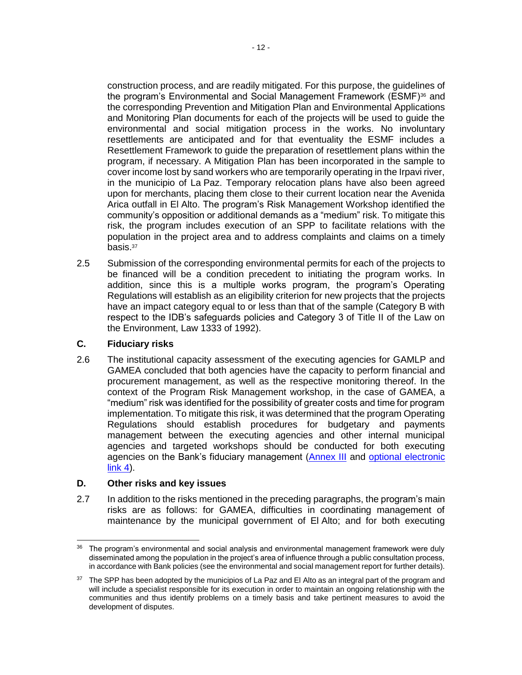construction process, and are readily mitigated. For this purpose, the guidelines of the program's Environmental and Social Management Framework (ESMF)<sup>36</sup> and the corresponding Prevention and Mitigation Plan and Environmental Applications and Monitoring Plan documents for each of the projects will be used to guide the environmental and social mitigation process in the works. No involuntary resettlements are anticipated and for that eventuality the ESMF includes a Resettlement Framework to guide the preparation of resettlement plans within the program, if necessary. A Mitigation Plan has been incorporated in the sample to cover income lost by sand workers who are temporarily operating in the Irpavi river, in the municipio of La Paz. Temporary relocation plans have also been agreed upon for merchants, placing them close to their current location near the Avenida Arica outfall in El Alto. The program's Risk Management Workshop identified the community's opposition or additional demands as a "medium" risk. To mitigate this risk, the program includes execution of an SPP to facilitate relations with the population in the project area and to address complaints and claims on a timely basis.<sup>37</sup>

2.5 Submission of the corresponding environmental permits for each of the projects to be financed will be a condition precedent to initiating the program works. In addition, since this is a multiple works program, the program's Operating Regulations will establish as an eligibility criterion for new projects that the projects have an impact category equal to or less than that of the sample (Category B with respect to the IDB's safeguards policies and Category 3 of Title II of the Law on the Environment, Law 1333 of 1992).

## **C. Fiduciary risks**

2.6 The institutional capacity assessment of the executing agencies for GAMLP and GAMEA concluded that both agencies have the capacity to perform financial and procurement management, as well as the respective monitoring thereof. In the context of the Program Risk Management workshop, in the case of GAMEA, a "medium" risk was identified for the possibility of greater costs and time for program implementation. To mitigate this risk, it was determined that the program Operating Regulations should establish procedures for budgetary and payments management between the executing agencies and other internal municipal agencies and targeted workshops should be conducted for both executing agencies on the Bank's fiduciary management [\(Annex III](http://idbdocs.iadb.org/wsdocs/getDocument.aspx?DOCNUM=40563156) and [optional electronic](http://idbdocs.iadb.org/wsdocs/getDocument.aspx?DOCNUM=40480904)   $link(4)$ .

## **D. Other risks and key issues**

2.7 In addition to the risks mentioned in the preceding paragraphs, the program's main risks are as follows: for GAMEA, difficulties in coordinating management of maintenance by the municipal government of El Alto; and for both executing

 $\overline{a}$ <sup>36</sup> The program's environmental and social analysis and environmental management framework were duly disseminated among the population in the project's area of influence through a public consultation process, in accordance with Bank policies (see the environmental and social management report for further details).

<sup>&</sup>lt;sup>37</sup> The SPP has been adopted by the municipios of La Paz and El Alto as an integral part of the program and will include a specialist responsible for its execution in order to maintain an ongoing relationship with the communities and thus identify problems on a timely basis and take pertinent measures to avoid the development of disputes.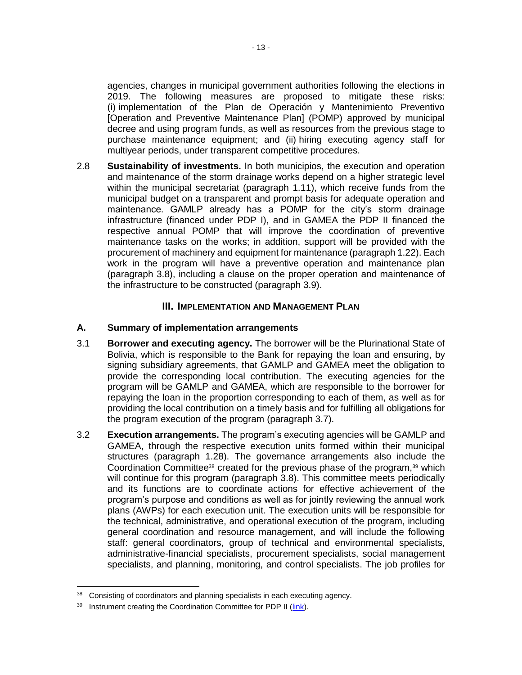agencies, changes in municipal government authorities following the elections in 2019. The following measures are proposed to mitigate these risks: (i) implementation of the Plan de Operación y Mantenimiento Preventivo [Operation and Preventive Maintenance Plan] (POMP) approved by municipal decree and using program funds, as well as resources from the previous stage to purchase maintenance equipment; and (ii) hiring executing agency staff for multiyear periods, under transparent competitive procedures.

2.8 **Sustainability of investments.** In both municipios, the execution and operation and maintenance of the storm drainage works depend on a higher strategic level within the municipal secretariat (paragraph 1.11), which receive funds from the municipal budget on a transparent and prompt basis for adequate operation and maintenance. GAMLP already has a POMP for the city's storm drainage infrastructure (financed under PDP I), and in GAMEA the PDP II financed the respective annual POMP that will improve the coordination of preventive maintenance tasks on the works; in addition, support will be provided with the procurement of machinery and equipment for maintenance (paragraph 1.22). Each work in the program will have a preventive operation and maintenance plan (paragraph 3.8), including a clause on the proper operation and maintenance of the infrastructure to be constructed (paragraph 3.9).

#### **III. IMPLEMENTATION AND MANAGEMENT PLAN**

#### **A. Summary of implementation arrangements**

- 3.1 **Borrower and executing agency.** The borrower will be the Plurinational State of Bolivia, which is responsible to the Bank for repaying the loan and ensuring, by signing subsidiary agreements, that GAMLP and GAMEA meet the obligation to provide the corresponding local contribution. The executing agencies for the program will be GAMLP and GAMEA, which are responsible to the borrower for repaying the loan in the proportion corresponding to each of them, as well as for providing the local contribution on a timely basis and for fulfilling all obligations for the program execution of the program (paragraph 3.7).
- 3.2 **Execution arrangements.** The program's executing agencies will be GAMLP and GAMEA, through the respective execution units formed within their municipal structures (paragraph 1.28). The governance arrangements also include the Coordination Committee<sup>38</sup> created for the previous phase of the program,<sup>39</sup> which will continue for this program (paragraph 3.8). This committee meets periodically and its functions are to coordinate actions for effective achievement of the program's purpose and conditions as well as for jointly reviewing the annual work plans (AWPs) for each execution unit. The execution units will be responsible for the technical, administrative, and operational execution of the program, including general coordination and resource management, and will include the following staff: general coordinators, group of technical and environmental specialists, administrative-financial specialists, procurement specialists, social management specialists, and planning, monitoring, and control specialists. The job profiles for

 $\overline{a}$ 

<sup>38</sup> Consisting of coordinators and planning specialists in each executing agency.

<sup>&</sup>lt;sup>39</sup> Instrument creating the Coordination Committee for PDP II [\(link\)](http://idbdocs.iadb.org/wsdocs/getDocument.aspx?DOCNUM=40476554).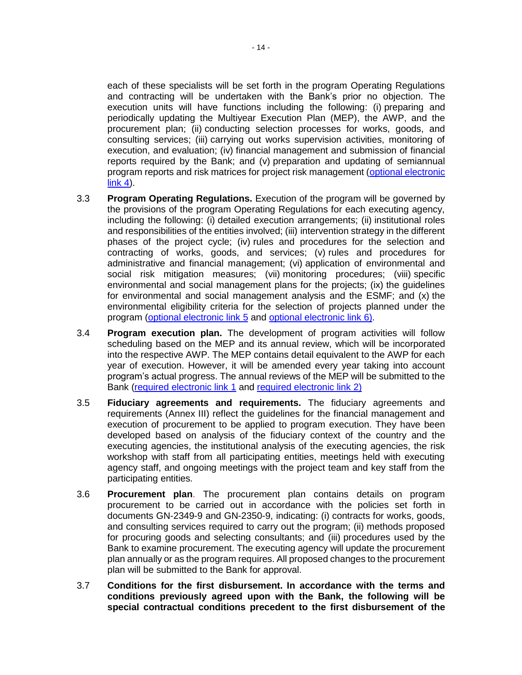each of these specialists will be set forth in the program Operating Regulations and contracting will be undertaken with the Bank's prior no objection. The execution units will have functions including the following: (i) preparing and periodically updating the Multiyear Execution Plan (MEP), the AWP, and the procurement plan; (ii) conducting selection processes for works, goods, and consulting services; (iii) carrying out works supervision activities, monitoring of execution, and evaluation; (iv) financial management and submission of financial reports required by the Bank; and (v) preparation and updating of semiannual program reports and risk matrices for project risk management [\(optional electronic](http://idbdocs.iadb.org/wsdocs/getDocument.aspx?DOCNUM=40480904)  [link 4\)](http://idbdocs.iadb.org/wsdocs/getDocument.aspx?DOCNUM=40480904).

- 3.3 **Program Operating Regulations.** Execution of the program will be governed by the provisions of the program Operating Regulations for each executing agency, including the following: (i) detailed execution arrangements; (ii) institutional roles and responsibilities of the entities involved; (iii) intervention strategy in the different phases of the project cycle; (iv) rules and procedures for the selection and contracting of works, goods, and services; (v) rules and procedures for administrative and financial management; (vi) application of environmental and social risk mitigation measures; (vii) monitoring procedures; (viii) specific environmental and social management plans for the projects; (ix) the guidelines for environmental and social management analysis and the ESMF; and (x) the environmental eligibility criteria for the selection of projects planned under the program [\(optional electronic link 5](http://idbdocs.iadb.org/wsdocs/getDocument.aspx?DOCNUM=40529770) and [optional electronic link 6\)](http://idbdocs.iadb.org/wsdocs/getDocument.aspx?DOCNUM=40529774).
- 3.4 **Program execution plan.** The development of program activities will follow scheduling based on the MEP and its annual review, which will be incorporated into the respective AWP. The MEP contains detail equivalent to the AWP for each year of execution. However, it will be amended every year taking into account program's actual progress. The annual reviews of the MEP will be submitted to the Bank [\(required electronic link 1](http://idbdocs.iadb.org/wsdocs/getDocument.aspx?DOCNUM=40485319) and [required electronic link 2\)](http://idbdocs.iadb.org/wsdocs/getDocument.aspx?DOCNUM=40541246)
- 3.5 **Fiduciary agreements and requirements.** The fiduciary agreements and requirements (Annex III) reflect the guidelines for the financial management and execution of procurement to be applied to program execution. They have been developed based on analysis of the fiduciary context of the country and the executing agencies, the institutional analysis of the executing agencies, the risk workshop with staff from all participating entities, meetings held with executing agency staff, and ongoing meetings with the project team and key staff from the participating entities*.*
- 3.6 **Procurement plan**. The procurement plan contains details on program procurement to be carried out in accordance with the policies set forth in documents GN-2349-9 and GN-2350-9, indicating: (i) contracts for works, goods, and consulting services required to carry out the program; (ii) methods proposed for procuring goods and selecting consultants; and (iii) procedures used by the Bank to examine procurement. The executing agency will update the procurement plan annually or as the program requires. All proposed changes to the procurement plan will be submitted to the Bank for approval.
- 3.7 **Conditions for the first disbursement. In accordance with the terms and conditions previously agreed upon with the Bank, the following will be special contractual conditions precedent to the first disbursement of the**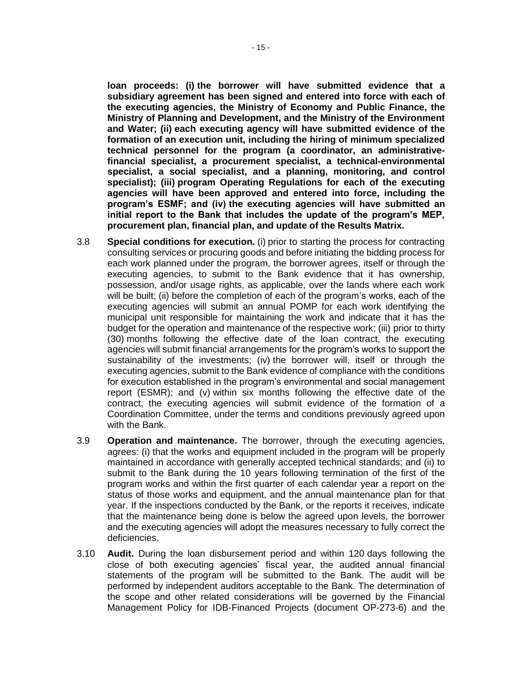**loan proceeds: (i) the borrower will have submitted evidence that a subsidiary agreement has been signed and entered into force with each of the executing agencies, the Ministry of Economy and Public Finance, the Ministry of Planning and Development, and the Ministry of the Environment and Water; (ii) each executing agency will have submitted evidence of the formation of an execution unit, including the hiring of minimum specialized technical personnel for the program (a coordinator, an administrativefinancial specialist, a procurement specialist, a technical-environmental specialist, a social specialist, and a planning, monitoring, and control specialist); (iii) program Operating Regulations for each of the executing agencies will have been approved and entered into force, including the program's ESMF; and (iv) the executing agencies will have submitted an initial report to the Bank that includes the update of the program's MEP, procurement plan, financial plan, and update of the Results Matrix.** 

- 3.8 **Special conditions for execution.** (i) prior to starting the process for contracting consulting services or procuring goods and before initiating the bidding process for each work planned under the program, the borrower agrees, itself or through the executing agencies, to submit to the Bank evidence that it has ownership, possession, and/or usage rights, as applicable, over the lands where each work will be built; (ii) before the completion of each of the program's works, each of the executing agencies will submit an annual POMP for each work identifying the municipal unit responsible for maintaining the work and indicate that it has the budget for the operation and maintenance of the respective work; (iii) prior to thirty (30) months following the effective date of the loan contract, the executing agencies will submit financial arrangements for the program's works to support the sustainability of the investments; (iv) the borrower will, itself or through the executing agencies, submit to the Bank evidence of compliance with the conditions for execution established in the program's environmental and social management report (ESMR); and (v) within six months following the effective date of the contract, the executing agencies will submit evidence of the formation of a Coordination Committee, under the terms and conditions previously agreed upon with the Bank.
- 3.9 **Operation and maintenance.** The borrower, through the executing agencies, agrees: (i) that the works and equipment included in the program will be properly maintained in accordance with generally accepted technical standards; and (ii) to submit to the Bank during the 10 years following termination of the first of the program works and within the first quarter of each calendar year a report on the status of those works and equipment, and the annual maintenance plan for that year. If the inspections conducted by the Bank, or the reports it receives, indicate that the maintenance being done is below the agreed upon levels, the borrower and the executing agencies will adopt the measures necessary to fully correct the deficiencies.
- 3.10 **Audit.** During the loan disbursement period and within 120 days following the close of both executing agencies' fiscal year, the audited annual financial statements of the program will be submitted to the Bank. The audit will be performed by independent auditors acceptable to the Bank. The determination of the scope and other related considerations will be governed by the Financial Management Policy for IDB-Financed Projects (document OP-273-6) and the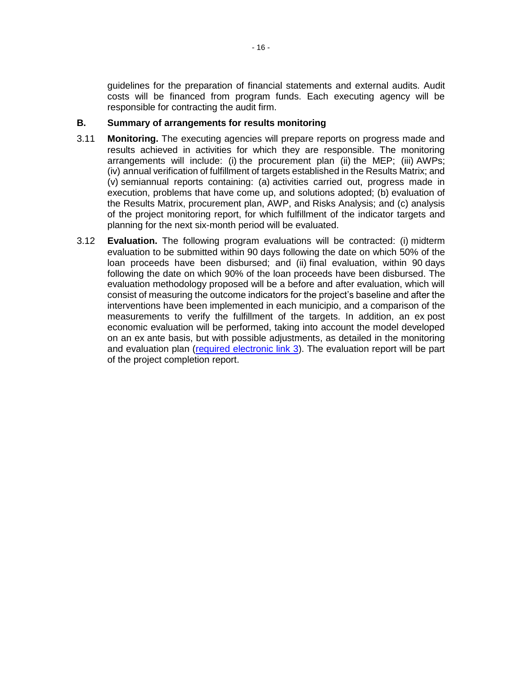guidelines for the preparation of financial statements and external audits. Audit costs will be financed from program funds. Each executing agency will be responsible for contracting the audit firm.

#### **B. Summary of arrangements for results monitoring**

- 3.11 **Monitoring.** The executing agencies will prepare reports on progress made and results achieved in activities for which they are responsible. The monitoring arrangements will include: (i) the procurement plan (ii) the MEP; (iii) AWPs; (iv) annual verification of fulfillment of targets established in the Results Matrix; and (v) semiannual reports containing: (a) activities carried out, progress made in execution, problems that have come up, and solutions adopted; (b) evaluation of the Results Matrix, procurement plan, AWP, and Risks Analysis; and (c) analysis of the project monitoring report, for which fulfillment of the indicator targets and planning for the next six-month period will be evaluated.
- 3.12 **Evaluation.** The following program evaluations will be contracted: (i) midterm evaluation to be submitted within 90 days following the date on which 50% of the loan proceeds have been disbursed; and (ii) final evaluation, within 90 days following the date on which 90% of the loan proceeds have been disbursed. The evaluation methodology proposed will be a before and after evaluation, which will consist of measuring the outcome indicators for the project's baseline and after the interventions have been implemented in each municipio, and a comparison of the measurements to verify the fulfillment of the targets. In addition, an ex post economic evaluation will be performed, taking into account the model developed on an ex ante basis, but with possible adjustments, as detailed in the monitoring and evaluation plan [\(required electronic link 3](http://idbdocs.iadb.org/wsdocs/getDocument.aspx?DOCNUM=40529084)). The evaluation report will be part of the project completion report.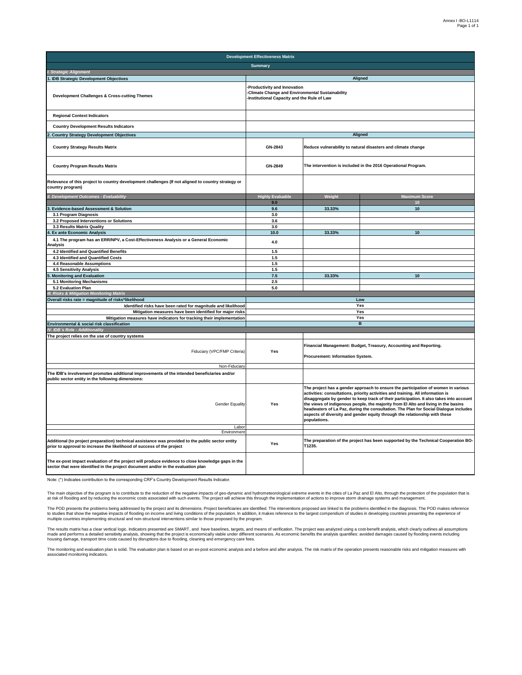| <b>Development Effectiveness Matrix</b>                                                                                                                                                |                                                                                                                                      |                                                                                                                                                                                                                                                                                                                                                                                                                                                                                                                                             |                                                                                    |  |  |  |  |  |  |  |
|----------------------------------------------------------------------------------------------------------------------------------------------------------------------------------------|--------------------------------------------------------------------------------------------------------------------------------------|---------------------------------------------------------------------------------------------------------------------------------------------------------------------------------------------------------------------------------------------------------------------------------------------------------------------------------------------------------------------------------------------------------------------------------------------------------------------------------------------------------------------------------------------|------------------------------------------------------------------------------------|--|--|--|--|--|--|--|
|                                                                                                                                                                                        | <b>Summary</b>                                                                                                                       |                                                                                                                                                                                                                                                                                                                                                                                                                                                                                                                                             |                                                                                    |  |  |  |  |  |  |  |
| I. Strategic Alignment                                                                                                                                                                 |                                                                                                                                      |                                                                                                                                                                                                                                                                                                                                                                                                                                                                                                                                             |                                                                                    |  |  |  |  |  |  |  |
| . IDB Strategic Development Objectives                                                                                                                                                 |                                                                                                                                      |                                                                                                                                                                                                                                                                                                                                                                                                                                                                                                                                             | Aligned                                                                            |  |  |  |  |  |  |  |
| <b>Development Challenges &amp; Cross-cutting Themes</b>                                                                                                                               | Productivity and Innovation<br><b>Climate Change and Environmental Sustainability</b><br>-Institutional Capacity and the Rule of Law |                                                                                                                                                                                                                                                                                                                                                                                                                                                                                                                                             |                                                                                    |  |  |  |  |  |  |  |
| <b>Regional Context Indicators</b>                                                                                                                                                     |                                                                                                                                      |                                                                                                                                                                                                                                                                                                                                                                                                                                                                                                                                             |                                                                                    |  |  |  |  |  |  |  |
| <b>Country Development Results Indicators</b>                                                                                                                                          |                                                                                                                                      |                                                                                                                                                                                                                                                                                                                                                                                                                                                                                                                                             |                                                                                    |  |  |  |  |  |  |  |
| . Country Strategy Development Objectives                                                                                                                                              | Aligned                                                                                                                              |                                                                                                                                                                                                                                                                                                                                                                                                                                                                                                                                             |                                                                                    |  |  |  |  |  |  |  |
| <b>Country Strategy Results Matrix</b>                                                                                                                                                 | GN-2843                                                                                                                              |                                                                                                                                                                                                                                                                                                                                                                                                                                                                                                                                             | Reduce vulnerability to natural disasters and climate change                       |  |  |  |  |  |  |  |
| <b>Country Program Results Matrix</b>                                                                                                                                                  | GN-2849                                                                                                                              |                                                                                                                                                                                                                                                                                                                                                                                                                                                                                                                                             | The intervention is included in the 2016 Operational Program.                      |  |  |  |  |  |  |  |
| Relevance of this project to country development challenges (If not aligned to country strategy or<br>country program)                                                                 |                                                                                                                                      |                                                                                                                                                                                                                                                                                                                                                                                                                                                                                                                                             |                                                                                    |  |  |  |  |  |  |  |
| II. Development Outcomes - Evaluability                                                                                                                                                | <b>Highly Evaluable</b>                                                                                                              | Weight                                                                                                                                                                                                                                                                                                                                                                                                                                                                                                                                      | <b>Maximum Score</b>                                                               |  |  |  |  |  |  |  |
|                                                                                                                                                                                        | 9.0                                                                                                                                  |                                                                                                                                                                                                                                                                                                                                                                                                                                                                                                                                             | 10                                                                                 |  |  |  |  |  |  |  |
| 3. Evidence-based Assessment & Solution                                                                                                                                                | 9.6                                                                                                                                  | 33.33%                                                                                                                                                                                                                                                                                                                                                                                                                                                                                                                                      | 10                                                                                 |  |  |  |  |  |  |  |
| 3.1 Program Diagnosis                                                                                                                                                                  | 3.0                                                                                                                                  |                                                                                                                                                                                                                                                                                                                                                                                                                                                                                                                                             |                                                                                    |  |  |  |  |  |  |  |
| 3.2 Proposed Interventions or Solutions                                                                                                                                                | 3.6                                                                                                                                  |                                                                                                                                                                                                                                                                                                                                                                                                                                                                                                                                             |                                                                                    |  |  |  |  |  |  |  |
| 3.3 Results Matrix Quality                                                                                                                                                             | 3.0                                                                                                                                  |                                                                                                                                                                                                                                                                                                                                                                                                                                                                                                                                             |                                                                                    |  |  |  |  |  |  |  |
| 4. Ex ante Economic Analysis                                                                                                                                                           | 10.0                                                                                                                                 | 33.33%                                                                                                                                                                                                                                                                                                                                                                                                                                                                                                                                      | 10                                                                                 |  |  |  |  |  |  |  |
| 4.1 The program has an ERR/NPV, a Cost-Effectiveness Analysis or a General Economic<br>Analysis                                                                                        | 4.0                                                                                                                                  |                                                                                                                                                                                                                                                                                                                                                                                                                                                                                                                                             |                                                                                    |  |  |  |  |  |  |  |
| 4.2 Identified and Quantified Benefits                                                                                                                                                 | 1.5                                                                                                                                  |                                                                                                                                                                                                                                                                                                                                                                                                                                                                                                                                             |                                                                                    |  |  |  |  |  |  |  |
| 4.3 Identified and Quantified Costs                                                                                                                                                    | 1.5                                                                                                                                  |                                                                                                                                                                                                                                                                                                                                                                                                                                                                                                                                             |                                                                                    |  |  |  |  |  |  |  |
| 4.4 Reasonable Assumptions                                                                                                                                                             | 1.5                                                                                                                                  |                                                                                                                                                                                                                                                                                                                                                                                                                                                                                                                                             |                                                                                    |  |  |  |  |  |  |  |
| 4.5 Sensitivity Analysis                                                                                                                                                               | 1.5                                                                                                                                  |                                                                                                                                                                                                                                                                                                                                                                                                                                                                                                                                             |                                                                                    |  |  |  |  |  |  |  |
| <b>Monitoring and Evaluation</b>                                                                                                                                                       | 7.5                                                                                                                                  | 33.33%                                                                                                                                                                                                                                                                                                                                                                                                                                                                                                                                      | 10                                                                                 |  |  |  |  |  |  |  |
| 5.1 Monitoring Mechanisms                                                                                                                                                              | 2.5                                                                                                                                  |                                                                                                                                                                                                                                                                                                                                                                                                                                                                                                                                             |                                                                                    |  |  |  |  |  |  |  |
| 5.2 Evaluation Plan                                                                                                                                                                    | 5.0                                                                                                                                  |                                                                                                                                                                                                                                                                                                                                                                                                                                                                                                                                             |                                                                                    |  |  |  |  |  |  |  |
| <b>I. Risks &amp; Mitigation Monitoring Matrix</b>                                                                                                                                     |                                                                                                                                      |                                                                                                                                                                                                                                                                                                                                                                                                                                                                                                                                             |                                                                                    |  |  |  |  |  |  |  |
| Overall risks rate = magnitude of risks*likelihood                                                                                                                                     | Low<br>Yes                                                                                                                           |                                                                                                                                                                                                                                                                                                                                                                                                                                                                                                                                             |                                                                                    |  |  |  |  |  |  |  |
| Identified risks have been rated for magnitude and likelihood<br>Mitigation measures have been identified for major risks                                                              |                                                                                                                                      |                                                                                                                                                                                                                                                                                                                                                                                                                                                                                                                                             | Yes                                                                                |  |  |  |  |  |  |  |
| Mitigation measures have indicators for tracking their implementation                                                                                                                  |                                                                                                                                      |                                                                                                                                                                                                                                                                                                                                                                                                                                                                                                                                             | Yes                                                                                |  |  |  |  |  |  |  |
| Environmental & social risk classification                                                                                                                                             |                                                                                                                                      |                                                                                                                                                                                                                                                                                                                                                                                                                                                                                                                                             | B.                                                                                 |  |  |  |  |  |  |  |
| IV. IDB's Role - Additionality                                                                                                                                                         |                                                                                                                                      |                                                                                                                                                                                                                                                                                                                                                                                                                                                                                                                                             |                                                                                    |  |  |  |  |  |  |  |
| The project relies on the use of country systems                                                                                                                                       |                                                                                                                                      |                                                                                                                                                                                                                                                                                                                                                                                                                                                                                                                                             |                                                                                    |  |  |  |  |  |  |  |
| Fiduciary (VPC/FMP Criteria)                                                                                                                                                           | Yes                                                                                                                                  | Procurement: Information System.                                                                                                                                                                                                                                                                                                                                                                                                                                                                                                            | Financial Management: Budget, Treasury, Accounting and Reporting.                  |  |  |  |  |  |  |  |
| Non-Fiduciary                                                                                                                                                                          |                                                                                                                                      |                                                                                                                                                                                                                                                                                                                                                                                                                                                                                                                                             |                                                                                    |  |  |  |  |  |  |  |
| The IDB's involvement promotes additional improvements of the intended beneficiaries and/or<br>public sector entity in the following dimensions:                                       |                                                                                                                                      |                                                                                                                                                                                                                                                                                                                                                                                                                                                                                                                                             |                                                                                    |  |  |  |  |  |  |  |
| <b>Gender Equality</b><br>Labor                                                                                                                                                        | Yes                                                                                                                                  | The project has a gender approach to ensure the participation of women in various<br>activities: consultations, priority activities and training. All information is<br>disaggregate by gender to keep track of their participation. It also takes into account<br>the views of indigenous people, the majority from El Alto and living in the basins<br>headwaters of La Paz, during the consultation. The Plan for Social Dialogue includes<br>aspects of diversity and gender equity through the relationship with these<br>populations. |                                                                                    |  |  |  |  |  |  |  |
| Environmen                                                                                                                                                                             |                                                                                                                                      |                                                                                                                                                                                                                                                                                                                                                                                                                                                                                                                                             |                                                                                    |  |  |  |  |  |  |  |
| Additional (to project preparation) technical assistance was provided to the public sector entity<br>prior to approval to increase the likelihood of success of the project            | Yes                                                                                                                                  | T1235.                                                                                                                                                                                                                                                                                                                                                                                                                                                                                                                                      | The preparation of the project has been supported by the Technical Cooperation BO- |  |  |  |  |  |  |  |
| The ex-post impact evaluation of the project will produce evidence to close knowledge gaps in the<br>sector that were identified in the project document and/or in the evaluation plan |                                                                                                                                      |                                                                                                                                                                                                                                                                                                                                                                                                                                                                                                                                             |                                                                                    |  |  |  |  |  |  |  |

Note: (\*) Indicates contribution to the corresponding CRF's Country Development Results Indicator.

The main objective of the program is to contribute to the reduction of the negative impacts of geo-dynamic and hydrometeorological extreme events in the cities of La Paz and El Alto, through the protection of the populatio

The POD presents the problems being addressed by the project and its dimensions. Project beneficiaries are identified. The interventions proposed are linked to the problems identified in the diagnosis. The POD makes refere

The results matrix has a clear vertical logic. Indicators presented are SMART, and have baselines, targets, and means of verification. The project was analyzed using a cost-benefit analysis, which clearly outlines all assu

The monitoring and evaluation plan is solid. The evaluation plan is based on an ex-post economic analysis and a before and after analysis. The risk matrix of the operation presents reasonable risks and mitigation measures associated monitoring indicators.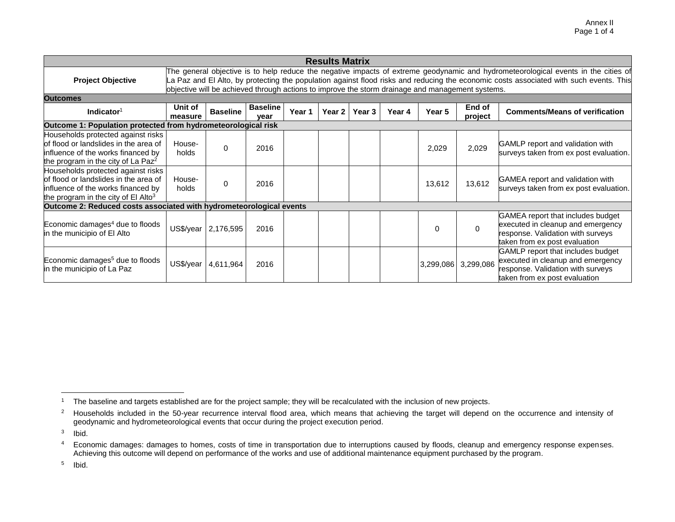| <b>Results Matrix</b>                                                                                                                                                |                    |                                                                                                  |                         |        |          |        |        |           |                   |                                                                                                                                                                                                                                                                              |
|----------------------------------------------------------------------------------------------------------------------------------------------------------------------|--------------------|--------------------------------------------------------------------------------------------------|-------------------------|--------|----------|--------|--------|-----------|-------------------|------------------------------------------------------------------------------------------------------------------------------------------------------------------------------------------------------------------------------------------------------------------------------|
| <b>Project Objective</b>                                                                                                                                             |                    | objective will be achieved through actions to improve the storm drainage and management systems. |                         |        |          |        |        |           |                   | The general objective is to help reduce the negative impacts of extreme geodynamic and hydrometeorological events in the cities of<br>La Paz and El Alto, by protecting the population against flood risks and reducing the economic costs associated with such events. This |
| <b>Outcomes</b>                                                                                                                                                      |                    |                                                                                                  |                         |        |          |        |        |           |                   |                                                                                                                                                                                                                                                                              |
| Indicator $1$                                                                                                                                                        | Unit of<br>measure | <b>Baseline</b>                                                                                  | <b>Baseline</b><br>vear | Year 1 | Year 2 I | Year 3 | Year 4 | Year 5    | End of<br>project | <b>Comments/Means of verification</b>                                                                                                                                                                                                                                        |
| Outcome 1: Population protected from hydrometeorological risk                                                                                                        |                    |                                                                                                  |                         |        |          |        |        |           |                   |                                                                                                                                                                                                                                                                              |
| Households protected against risks<br>of flood or landslides in the area of<br>influence of the works financed by<br>the program in the city of La Paz <sup>2</sup>  | House-<br>holds    | $\Omega$                                                                                         | 2016                    |        |          |        |        | 2,029     | 2,029             | GAMLP report and validation with<br>surveys taken from ex post evaluation.                                                                                                                                                                                                   |
| Households protected against risks<br>of flood or landslides in the area of<br>influence of the works financed by<br>the program in the city of El Alto <sup>3</sup> | House-<br>holds    | $\Omega$                                                                                         | 2016                    |        |          |        |        | 13,612    | 13,612            | GAMEA report and validation with<br>surveys taken from ex post evaluation.                                                                                                                                                                                                   |
| Outcome 2: Reduced costs associated with hydrometeorological events                                                                                                  |                    |                                                                                                  |                         |        |          |        |        |           |                   |                                                                                                                                                                                                                                                                              |
| Economic damages <sup>4</sup> due to floods<br>in the municipio of El Alto                                                                                           | US\$/year          | 2,176,595                                                                                        | 2016                    |        |          |        |        | $\Omega$  | $\Omega$          | GAMEA report that includes budget<br>executed in cleanup and emergency<br>response. Validation with surveys<br>taken from ex post evaluation                                                                                                                                 |
| Economic damages <sup>5</sup> due to floods<br>in the municipio of La Paz                                                                                            | US\$/year          | 4,611,964                                                                                        | 2016                    |        |          |        |        | 3,299,086 | 3,299,086         | GAMLP report that includes budget<br>executed in cleanup and emergency<br>response. Validation with surveys<br>taken from ex post evaluation                                                                                                                                 |

 $\overline{a}$ 

5 Ibid.

<sup>&</sup>lt;sup>1</sup> The baseline and targets established are for the project sample; they will be recalculated with the inclusion of new projects.

 $2$  Households included in the 50-year recurrence interval flood area, which means that achieving the target will depend on the occurrence and intensity of geodynamic and hydrometeorological events that occur during the project execution period.

<sup>3</sup> Ibid.

<sup>4</sup> Economic damages: damages to homes, costs of time in transportation due to interruptions caused by floods, cleanup and emergency response expenses. Achieving this outcome will depend on performance of the works and use of additional maintenance equipment purchased by the program.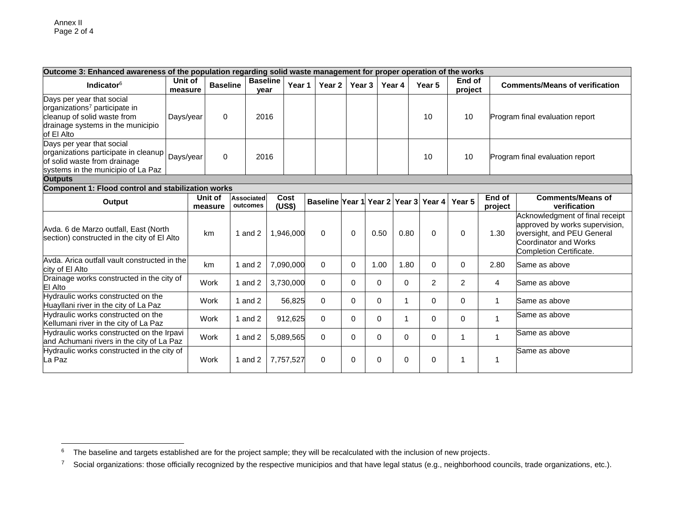| Outcome 3: Enhanced awareness of the population regarding solid waste management for proper operation of the works                                       |                    |                    |                         |                |                                             |          |          |          |          |                   |                   |                                                                                                                                                            |
|----------------------------------------------------------------------------------------------------------------------------------------------------------|--------------------|--------------------|-------------------------|----------------|---------------------------------------------|----------|----------|----------|----------|-------------------|-------------------|------------------------------------------------------------------------------------------------------------------------------------------------------------|
| Indicator $6$                                                                                                                                            | Unit of<br>measure | <b>Baseline</b>    | <b>Baseline</b><br>year | Year 1         | Year 2                                      | Year 3   |          | Year 4   | Year 5   | End of<br>project |                   | <b>Comments/Means of verification</b>                                                                                                                      |
| Days per year that social<br>organizations <sup>7</sup> participate in<br>cleanup of solid waste from<br>drainage systems in the municipio<br>of El Alto | Days/year          | $\Omega$           | 2016                    |                |                                             |          |          |          | 10       | 10                |                   | Program final evaluation report                                                                                                                            |
| Days per year that social<br>organizations participate in cleanup<br>of solid waste from drainage<br>systems in the municipio of La Paz                  | Days/year          | $\Omega$           | 2016                    |                |                                             |          |          |          | 10       | 10                |                   | Program final evaluation report                                                                                                                            |
| <b>Outputs</b>                                                                                                                                           |                    |                    |                         |                |                                             |          |          |          |          |                   |                   |                                                                                                                                                            |
| Component 1: Flood control and stabilization works                                                                                                       |                    |                    |                         |                |                                             |          |          |          |          |                   |                   |                                                                                                                                                            |
| Output                                                                                                                                                   |                    | Unit of<br>measure | Associated<br>outcomes  | Cost<br>(US\$) | Baseline Year 1 Year 2 Year 3 Year 4 Year 5 |          |          |          |          |                   | End of<br>project | <b>Comments/Means of</b><br>verification                                                                                                                   |
| Avda. 6 de Marzo outfall, East (North<br>section) constructed in the city of El Alto                                                                     |                    | km                 | 1 and $2$               | 1,946,000      | $\Omega$                                    | $\Omega$ | 0.50     | 0.80     | $\Omega$ | $\Omega$          | 1.30              | Acknowledgment of final receipt<br>approved by works supervision,<br>oversight, and PEU General<br><b>Coordinator and Works</b><br>Completion Certificate. |
| Avda. Arica outfall vault constructed in the<br>city of El Alto                                                                                          |                    | km                 | 1 and $2$               | 7,090,000      | $\mathbf 0$                                 | 0        | 1.00     | 1.80     | $\Omega$ | $\Omega$          | 2.80              | Same as above                                                                                                                                              |
| Drainage works constructed in the city of<br>El Alto                                                                                                     |                    | Work               | 1 and $2$               | 3,730,000      | $\Omega$                                    | 0        | $\Omega$ | $\Omega$ | 2        | $\overline{2}$    | 4                 | Same as above                                                                                                                                              |
| Hydraulic works constructed on the<br>Huayllani river in the city of La Paz                                                                              |                    | Work               | 1 and $2$               | 56,825         | $\Omega$                                    | 0        | $\Omega$ | 1        | $\Omega$ | $\Omega$          | 1                 | Same as above                                                                                                                                              |
| Hydraulic works constructed on the<br>Kellumani river in the city of La Paz                                                                              |                    | Work               | 1 and $2$               | 912,625        | $\Omega$                                    | 0        | $\Omega$ | 1        | $\Omega$ | $\Omega$          | $\mathbf{1}$      | Same as above                                                                                                                                              |
| Hydraulic works constructed on the Irpavi<br>and Achumani rivers in the city of La Paz                                                                   |                    | Work               | 1 and $2$               | 5,089,565      | $\Omega$                                    | 0        | $\Omega$ | $\Omega$ | $\Omega$ | 1                 | 1                 | Same as above                                                                                                                                              |
| Hydraulic works constructed in the city of<br>La Paz                                                                                                     |                    | Work               | 1 and $2$               | 7,757,527      | $\mathbf 0$                                 | 0        | 0        | 0        | 0        | 1                 | 1                 | Same as above                                                                                                                                              |

 $\mathbf 6$ The baseline and targets established are for the project sample; they will be recalculated with the inclusion of new projects.

<sup>&</sup>lt;sup>7</sup> Social organizations: those officially recognized by the respective municipios and that have legal status (e.g., neighborhood councils, trade organizations, etc.).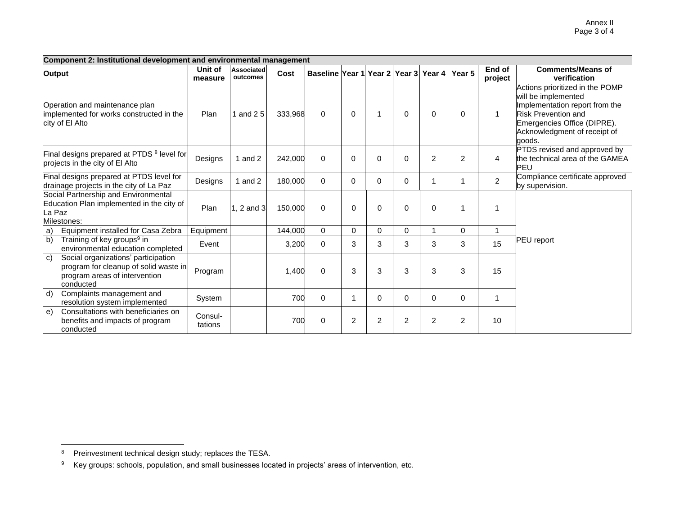|                                                                                                            | Component 2: Institutional development and environmental management                                                        |                    |                        |         |                                      |                |                |                |                |             |                   |                                                                                                                                                                                                 |
|------------------------------------------------------------------------------------------------------------|----------------------------------------------------------------------------------------------------------------------------|--------------------|------------------------|---------|--------------------------------------|----------------|----------------|----------------|----------------|-------------|-------------------|-------------------------------------------------------------------------------------------------------------------------------------------------------------------------------------------------|
| Output                                                                                                     |                                                                                                                            | Unit of<br>measure | Associated<br>outcomes | Cost    | Baseline Year 1 Year 2 Year 3 Year 4 |                |                |                |                | Year 5      | End of<br>project | <b>Comments/Means of</b><br>verification                                                                                                                                                        |
| Operation and maintenance plan<br>implemented for works constructed in the<br>city of El Alto              |                                                                                                                            | Plan               | and $25$               | 333,968 | $\Omega$                             | $\mathbf 0$    | $\overline{1}$ | 0              | $\Omega$       | $\Omega$    | $\mathbf{1}$      | Actions prioritized in the POMP<br>will be implemented<br>Implementation report from the<br><b>Risk Prevention and</b><br>Emergencies Office (DIPRE).<br>Acknowledgment of receipt of<br>qoods. |
| Final designs prepared at PTDS <sup>8</sup> level for<br>projects in the city of El Alto                   |                                                                                                                            | Designs            | 1 and $2$              | 242,000 | $\Omega$                             | 0              | $\Omega$       | 0              | $\overline{2}$ | 2           | $\overline{4}$    | PTDS revised and approved by<br>the technical area of the GAMEA<br>PEU                                                                                                                          |
| Final designs prepared at PTDS level for<br>drainage projects in the city of La Paz                        |                                                                                                                            | Designs            | 1 and $2$              | 180,000 | $\Omega$                             | 0              | $\Omega$       | $\mathbf 0$    | -1             |             | $\overline{2}$    | Compliance certificate approved<br>by supervision.                                                                                                                                              |
| Social Partnership and Environmental<br>Education Plan implemented in the city of<br>La Paz<br>Milestones: |                                                                                                                            | Plan               | $1, 2$ and $3$         | 150,000 | $\Omega$                             | $\Omega$       | $\Omega$       | $\Omega$       | $\Omega$       | 1           |                   |                                                                                                                                                                                                 |
| a)                                                                                                         | Equipment installed for Casa Zebra                                                                                         | Equipment          |                        | 144,000 | $\Omega$                             | $\Omega$       | $\Omega$       | $\mathbf 0$    | $\overline{A}$ | $\Omega$    |                   |                                                                                                                                                                                                 |
| b)                                                                                                         | Training of key groups <sup>9</sup> in<br>environmental education completed                                                | Event              |                        | 3,200   | $\Omega$                             | 3              | 3              | 3              | 3              | 3           | 15                | PEU report                                                                                                                                                                                      |
| C)                                                                                                         | Social organizations' participation<br>program for cleanup of solid waste in<br>program areas of intervention<br>conducted | Program            |                        | 1,400   | 0                                    | 3              | 3              | 3              | 3              | 3           | 15                |                                                                                                                                                                                                 |
| $\mathsf{d}$                                                                                               | Complaints management and<br>resolution system implemented                                                                 | System             |                        | 700     | $\mathbf 0$                          | 1              | $\Omega$       | $\mathbf 0$    | $\Omega$       | $\mathbf 0$ | $\mathbf{1}$      |                                                                                                                                                                                                 |
| e)                                                                                                         | Consultations with beneficiaries on<br>benefits and impacts of program<br>conducted                                        | Consul-<br>tations |                        | 700     | $\Omega$                             | $\overline{2}$ | $\overline{2}$ | $\overline{c}$ | $\overline{2}$ | 2           | 10                |                                                                                                                                                                                                 |

 $\overline{a}$ <sup>8</sup> Preinvestment technical design study; replaces the TESA.

<sup>9</sup> Key groups: schools, population, and small businesses located in projects' areas of intervention, etc.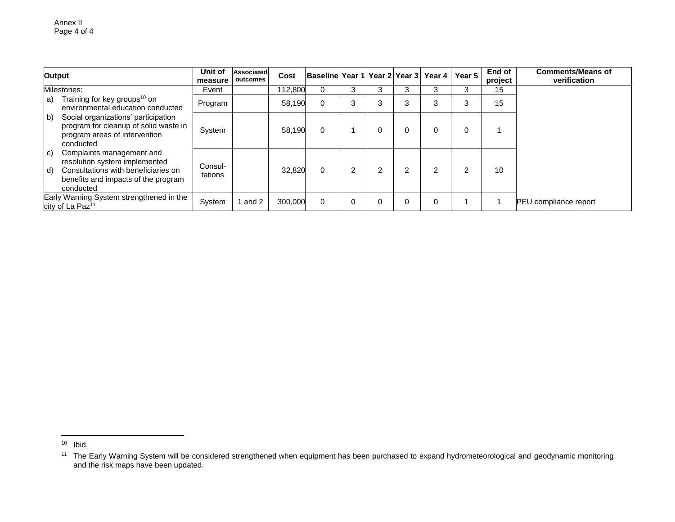| Output                                                                                                                                                            | Unit of<br>measure | Associated<br>outcomes | Cost    | Baseline Year 1   Year 2   Year 3   Year 4   Year 5 |                |   |   |    |                | End of<br>project | <b>Comments/Means of</b><br>verification |
|-------------------------------------------------------------------------------------------------------------------------------------------------------------------|--------------------|------------------------|---------|-----------------------------------------------------|----------------|---|---|----|----------------|-------------------|------------------------------------------|
| Milestones:                                                                                                                                                       | Event              |                        | 112,800 | $\Omega$                                            | 3              |   | 3 |    | 3              | 15                |                                          |
| Training for key groups <sup>10</sup> on<br>a)<br>environmental education conducted                                                                               | Program            |                        | 58,190  | $\Omega$                                            | 3              |   | 3 | ۰. | 3              | 15                |                                          |
| Social organizations' participation<br>b)<br>program for cleanup of solid waste in<br>program areas of intervention<br>conducted                                  | System             |                        | 58,190  | $\Omega$                                            |                |   | 0 |    | 0              |                   |                                          |
| Complaints management and<br>C)<br>resolution system implemented<br>Consultations with beneficiaries on<br>d)<br>benefits and impacts of the program<br>conducted | Consul-<br>tations |                        | 32,820  | $\Omega$                                            | $\overline{2}$ | ◠ | 2 | 2  | $\overline{2}$ | 10                |                                          |
| Early Warning System strengthened in the<br>city of La Paz <sup>11</sup>                                                                                          | System             | and 2                  | 300,000 | $\Omega$                                            |                |   | 0 |    |                |                   | PEU compliance report                    |

 $\overline{\phantom{a}}$ 

<sup>&</sup>lt;sup>10</sup> Ibid.

<sup>&</sup>lt;sup>11</sup> The Early Warning System will be considered strengthened when equipment has been purchased to expand hydrometeorological and geodynamic monitoring and the risk maps have been updated.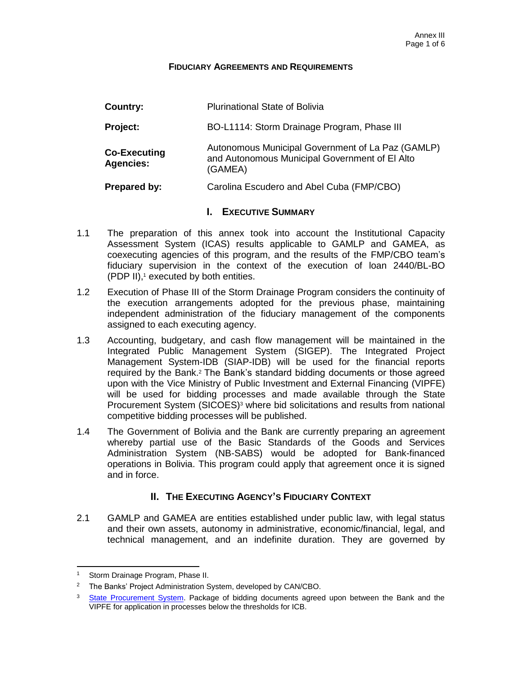#### **FIDUCIARY AGREEMENTS AND REQUIREMENTS**

| Country:                                | <b>Plurinational State of Bolivia</b>                                                                          |
|-----------------------------------------|----------------------------------------------------------------------------------------------------------------|
| Project:                                | BO-L1114: Storm Drainage Program, Phase III                                                                    |
| <b>Co-Executing</b><br><b>Agencies:</b> | Autonomous Municipal Government of La Paz (GAMLP)<br>and Autonomous Municipal Government of El Alto<br>(GAMEA) |
| <b>Prepared by:</b>                     | Carolina Escudero and Abel Cuba (FMP/CBO)                                                                      |

#### **I. EXECUTIVE SUMMARY**

- 1.1 The preparation of this annex took into account the Institutional Capacity Assessment System (ICAS) results applicable to GAMLP and GAMEA, as coexecuting agencies of this program, and the results of the FMP/CBO team's fiduciary supervision in the context of the execution of loan 2440/BL-BO (PDP II), <sup>1</sup> executed by both entities.
- 1.2 Execution of Phase III of the Storm Drainage Program considers the continuity of the execution arrangements adopted for the previous phase, maintaining independent administration of the fiduciary management of the components assigned to each executing agency.
- 1.3 Accounting, budgetary, and cash flow management will be maintained in the Integrated Public Management System (SIGEP). The Integrated Project Management System-IDB (SIAP-IDB) will be used for the financial reports required by the Bank.<sup>2</sup> The Bank's standard bidding documents or those agreed upon with the Vice Ministry of Public Investment and External Financing (VIPFE) will be used for bidding processes and made available through the State Procurement System (SICOES) <sup>3</sup> where bid solicitations and results from national competitive bidding processes will be published.
- 1.4 The Government of Bolivia and the Bank are currently preparing an agreement whereby partial use of the Basic Standards of the Goods and Services Administration System (NB-SABS) would be adopted for Bank-financed operations in Bolivia. This program could apply that agreement once it is signed and in force.

## **II. THE EXECUTING AGENCY'S FIDUCIARY CONTEXT**

2.1 GAMLP and GAMEA are entities established under public law, with legal status and their own assets, autonomy in administrative, economic/financial, legal, and technical management, and an indefinite duration. They are governed by

 $\overline{a}$ 

<sup>1</sup> Storm Drainage Program, Phase II.

<sup>&</sup>lt;sup>2</sup> The Banks' Project Administration System, developed by CAN/CBO.

<sup>&</sup>lt;sup>3</sup> [State Procurement System.](http://www.sicoes.gob.bo/) Package of bidding documents agreed upon between the Bank and the VIPFE for application in processes below the thresholds for ICB.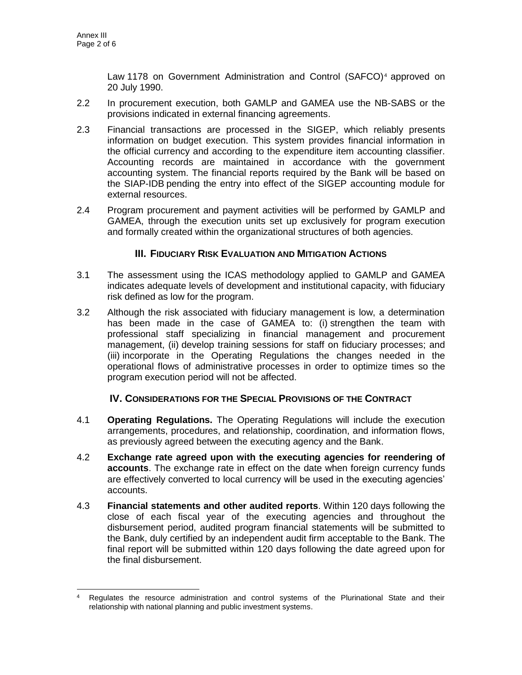Law 1178 on Government Administration and Control (SAFCO)<sup>4</sup> approved on 20 July 1990.

- 2.2 In procurement execution, both GAMLP and GAMEA use the NB-SABS or the provisions indicated in external financing agreements.
- 2.3 Financial transactions are processed in the SIGEP, which reliably presents information on budget execution. This system provides financial information in the official currency and according to the expenditure item accounting classifier. Accounting records are maintained in accordance with the government accounting system. The financial reports required by the Bank will be based on the SIAP-IDB pending the entry into effect of the SIGEP accounting module for external resources.
- 2.4 Program procurement and payment activities will be performed by GAMLP and GAMEA, through the execution units set up exclusively for program execution and formally created within the organizational structures of both agencies.

## **III. FIDUCIARY RISK EVALUATION AND MITIGATION ACTIONS**

- 3.1 The assessment using the ICAS methodology applied to GAMLP and GAMEA indicates adequate levels of development and institutional capacity, with fiduciary risk defined as low for the program.
- 3.2 Although the risk associated with fiduciary management is low, a determination has been made in the case of GAMEA to: (i) strengthen the team with professional staff specializing in financial management and procurement management, (ii) develop training sessions for staff on fiduciary processes; and (iii) incorporate in the Operating Regulations the changes needed in the operational flows of administrative processes in order to optimize times so the program execution period will not be affected.

## **IV. CONSIDERATIONS FOR THE SPECIAL PROVISIONS OF THE CONTRACT**

- 4.1 **Operating Regulations.** The Operating Regulations will include the execution arrangements, procedures, and relationship, coordination, and information flows, as previously agreed between the executing agency and the Bank.
- 4.2 **Exchange rate agreed upon with the executing agencies for reendering of accounts**. The exchange rate in effect on the date when foreign currency funds are effectively converted to local currency will be used in the executing agencies' accounts.
- 4.3 **Financial statements and other audited reports**. Within 120 days following the close of each fiscal year of the executing agencies and throughout the disbursement period, audited program financial statements will be submitted to the Bank, duly certified by an independent audit firm acceptable to the Bank. The final report will be submitted within 120 days following the date agreed upon for the final disbursement.

 $\overline{a}$ Regulates the resource administration and control systems of the Plurinational State and their relationship with national planning and public investment systems.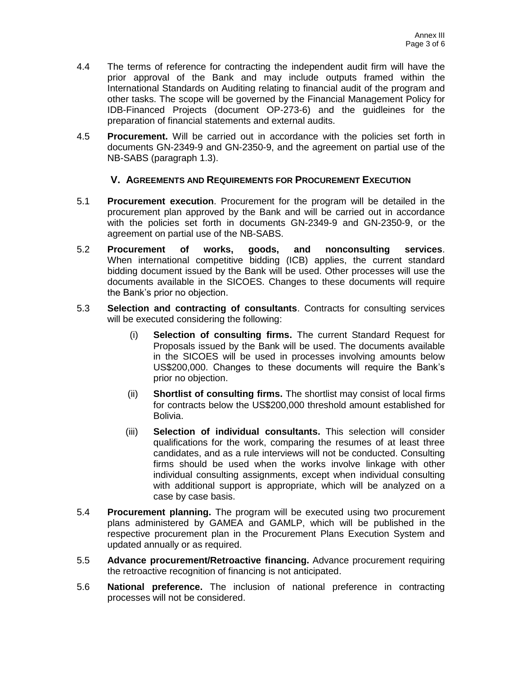- 4.4 The terms of reference for contracting the independent audit firm will have the prior approval of the Bank and may include outputs framed within the International Standards on Auditing relating to financial audit of the program and other tasks. The scope will be governed by the Financial Management Policy for IDB-Financed Projects (document OP-273-6) and the guidleines for the preparation of financial statements and external audits.
- 4.5 **Procurement.** Will be carried out in accordance with the policies set forth in documents GN-2349-9 and GN-2350-9, and the agreement on partial use of the NB-SABS (paragraph 1.3).

## **V. AGREEMENTS AND REQUIREMENTS FOR PROCUREMENT EXECUTION**

- 5.1 **Procurement execution**. Procurement for the program will be detailed in the procurement plan approved by the Bank and will be carried out in accordance with the policies set forth in documents GN-2349-9 and GN-2350-9, or the agreement on partial use of the NB-SABS.
- 5.2 **Procurement of works, goods, and nonconsulting services**. When international competitive bidding (ICB) applies, the current standard bidding document issued by the Bank will be used. Other processes will use the documents available in the SICOES. Changes to these documents will require the Bank's prior no objection.
- 5.3 **Selection and contracting of consultants**. Contracts for consulting services will be executed considering the following:
	- (i) **Selection of consulting firms.** The current Standard Request for Proposals issued by the Bank will be used. The documents available in the SICOES will be used in processes involving amounts below US\$200,000. Changes to these documents will require the Bank's prior no objection.
	- (ii) **Shortlist of consulting firms.** The shortlist may consist of local firms for contracts below the US\$200,000 threshold amount established for Bolivia.
	- (iii) **Selection of individual consultants.** This selection will consider qualifications for the work, comparing the resumes of at least three candidates, and as a rule interviews will not be conducted. Consulting firms should be used when the works involve linkage with other individual consulting assignments, except when individual consulting with additional support is appropriate, which will be analyzed on a case by case basis.
- 5.4 **Procurement planning.** The program will be executed using two procurement plans administered by GAMEA and GAMLP, which will be published in the respective procurement plan in the Procurement Plans Execution System and updated annually or as required.
- 5.5 **Advance procurement/Retroactive financing.** Advance procurement requiring the retroactive recognition of financing is not anticipated.
- 5.6 **National preference.** The inclusion of national preference in contracting processes will not be considered.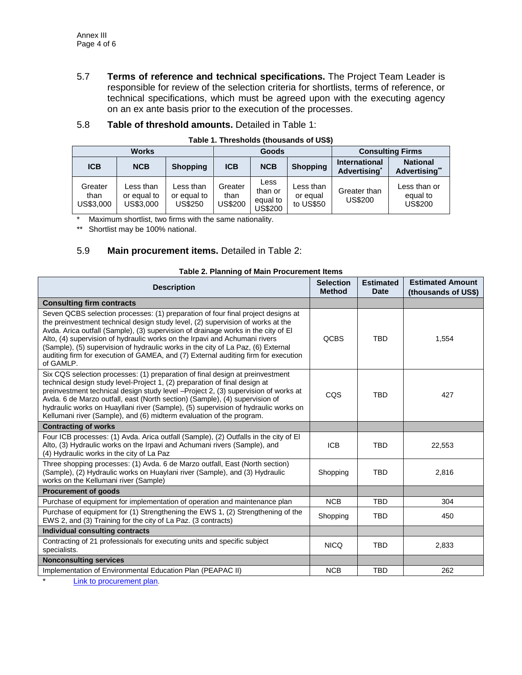5.7 **Terms of reference and technical specifications.** The Project Team Leader is responsible for review of the selection criteria for shortlists, terms of reference, or technical specifications, which must be agreed upon with the executing agency on an ex ante basis prior to the execution of the processes.

#### 5.8 **Table of threshold amounts.** Detailed in Table 1:

| <b>Works</b>                 |                                       |                                     | Goods                      |                                        |                                    | <b>Consulting Firms</b>                          |                                            |
|------------------------------|---------------------------------------|-------------------------------------|----------------------------|----------------------------------------|------------------------------------|--------------------------------------------------|--------------------------------------------|
| <b>ICB</b>                   | <b>NCB</b>                            | <b>Shopping</b>                     | <b>ICB</b>                 | <b>NCB</b>                             | <b>Shopping</b>                    | <b>International</b><br>Advertising <sup>*</sup> | <b>National</b><br>Advertising**           |
| Greater<br>than<br>US\$3,000 | Less than<br>or equal to<br>US\$3,000 | Less than<br>or equal to<br>US\$250 | Greater<br>than<br>US\$200 | Less<br>than or<br>equal to<br>US\$200 | Less than<br>or equal<br>to US\$50 | Greater than<br><b>US\$200</b>                   | Less than or<br>equal to<br><b>US\$200</b> |

#### **Table 1. Thresholds (thousands of US\$)**

\* Maximum shortlist, two firms with the same nationality.

\*\* Shortlist may be 100% national.

## 5.9 **Main procurement items.** Detailed in Table 2:

| <b>Description</b>                                                                                                                                                                                                                                                                                                                                                                                                                                                                                                            | <b>Selection</b><br><b>Method</b> | <b>Estimated</b><br><b>Date</b> | <b>Estimated Amount</b><br>(thousands of US\$) |
|-------------------------------------------------------------------------------------------------------------------------------------------------------------------------------------------------------------------------------------------------------------------------------------------------------------------------------------------------------------------------------------------------------------------------------------------------------------------------------------------------------------------------------|-----------------------------------|---------------------------------|------------------------------------------------|
| <b>Consulting firm contracts</b>                                                                                                                                                                                                                                                                                                                                                                                                                                                                                              |                                   |                                 |                                                |
| Seven QCBS selection processes: (1) preparation of four final project designs at<br>the preinvestment technical design study level, (2) supervision of works at the<br>Avda. Arica outfall (Sample), (3) supervision of drainage works in the city of El<br>Alto, (4) supervision of hydraulic works on the Irpavi and Achumani rivers<br>(Sample), (5) supervision of hydraulic works in the city of La Paz, (6) External<br>auditing firm for execution of GAMEA, and (7) External auditing firm for execution<br>of GAMLP. | <b>QCBS</b>                       | <b>TBD</b>                      | 1,554                                          |
| Six CQS selection processes: (1) preparation of final design at preinvestment<br>technical design study level-Project 1, (2) preparation of final design at<br>preinvestment technical design study level -Project 2, (3) supervision of works at<br>Avda. 6 de Marzo outfall, east (North section) (Sample), (4) supervision of<br>hydraulic works on Huayllani river (Sample), (5) supervision of hydraulic works on<br>Kellumani river (Sample), and (6) midterm evaluation of the program.                                | CQS                               | <b>TBD</b>                      | 427                                            |
| <b>Contracting of works</b>                                                                                                                                                                                                                                                                                                                                                                                                                                                                                                   |                                   |                                 |                                                |
| Four ICB processes: (1) Avda. Arica outfall (Sample), (2) Outfalls in the city of El<br>Alto, (3) Hydraulic works on the Irpavi and Achumani rivers (Sample), and<br>(4) Hydraulic works in the city of La Paz                                                                                                                                                                                                                                                                                                                | <b>ICB</b>                        | <b>TBD</b>                      | 22,553                                         |
| Three shopping processes: (1) Avda. 6 de Marzo outfall, East (North section)<br>(Sample), (2) Hydraulic works on Huaylani river (Sample), and (3) Hydraulic<br>works on the Kellumani river (Sample)                                                                                                                                                                                                                                                                                                                          | Shopping                          | <b>TBD</b>                      | 2,816                                          |
| <b>Procurement of goods</b>                                                                                                                                                                                                                                                                                                                                                                                                                                                                                                   |                                   |                                 |                                                |
| Purchase of equipment for implementation of operation and maintenance plan                                                                                                                                                                                                                                                                                                                                                                                                                                                    | <b>NCB</b>                        | <b>TBD</b>                      | 304                                            |
| Purchase of equipment for (1) Strengthening the EWS 1, (2) Strengthening of the<br>EWS 2, and (3) Training for the city of La Paz. (3 contracts)                                                                                                                                                                                                                                                                                                                                                                              | Shopping                          | <b>TBD</b>                      | 450                                            |
| Individual consulting contracts                                                                                                                                                                                                                                                                                                                                                                                                                                                                                               |                                   |                                 |                                                |
| Contracting of 21 professionals for executing units and specific subject<br>specialists.                                                                                                                                                                                                                                                                                                                                                                                                                                      | <b>NICQ</b>                       | <b>TBD</b>                      | 2,833                                          |
| <b>Nonconsulting services</b>                                                                                                                                                                                                                                                                                                                                                                                                                                                                                                 |                                   |                                 |                                                |
| Implementation of Environmental Education Plan (PEAPAC II)                                                                                                                                                                                                                                                                                                                                                                                                                                                                    | <b>NCB</b>                        | <b>TBD</b>                      | 262                                            |

#### **Table 2. Planning of Main Procurement Items**

[Link to procurement plan](http://idbdocs.iadb.org/wsdocs/getDocument.aspx?DOCNUM=40484909).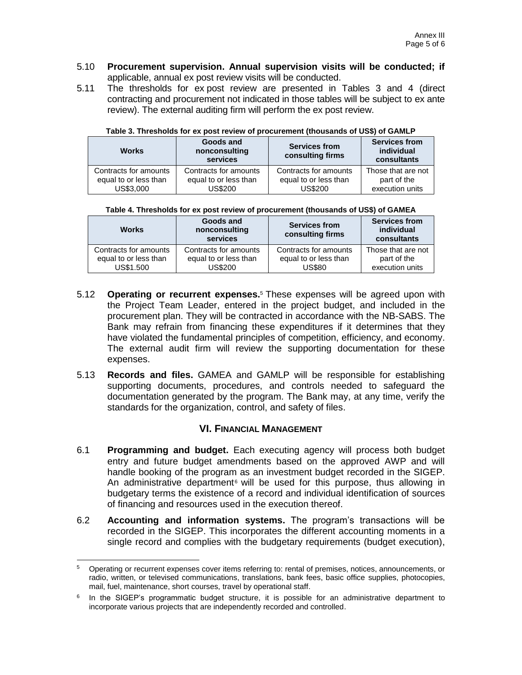- 5.10 **Procurement supervision. Annual supervision visits will be conducted; if** applicable, annual ex post review visits will be conducted.
- 5.11 The thresholds for ex post review are presented in Tables 3 and 4 (direct contracting and procurement not indicated in those tables will be subject to ex ante review). The external auditing firm will perform the ex post review.

| <b>Works</b>                                                | Goods and<br>nonconsulting<br>services                           | <b>Services from</b><br>consulting firms                         | <b>Services from</b><br>individual<br>consultants    |  |  |  |  |
|-------------------------------------------------------------|------------------------------------------------------------------|------------------------------------------------------------------|------------------------------------------------------|--|--|--|--|
| Contracts for amounts<br>equal to or less than<br>US\$3,000 | Contracts for amounts<br>equal to or less than<br><b>US\$200</b> | Contracts for amounts<br>equal to or less than<br><b>US\$200</b> | Those that are not<br>part of the<br>execution units |  |  |  |  |

**Table 3. Thresholds for ex post review of procurement (thousands of US\$) of GAMLP**

| Table 4. Thresholds for ex post review of procurement (thousands of US\$) of GAMEA |  |  |  |  |
|------------------------------------------------------------------------------------|--|--|--|--|
|------------------------------------------------------------------------------------|--|--|--|--|

| <b>Works</b>          | Goods and<br>nonconsulting<br>services | <b>Services from</b><br>consulting firms | <b>Services from</b><br>individual<br>consultants |
|-----------------------|----------------------------------------|------------------------------------------|---------------------------------------------------|
| Contracts for amounts | Contracts for amounts                  | Contracts for amounts                    | Those that are not                                |
| equal to or less than | equal to or less than                  | equal to or less than                    | part of the                                       |
| US\$1.500             | <b>US\$200</b>                         | <b>US\$80</b>                            | execution units                                   |

- 5.12 **Operating or recurrent expenses.**<sup>5</sup> These expenses will be agreed upon with the Project Team Leader, entered in the project budget, and included in the procurement plan. They will be contracted in accordance with the NB-SABS. The Bank may refrain from financing these expenditures if it determines that they have violated the fundamental principles of competition, efficiency, and economy. The external audit firm will review the supporting documentation for these expenses.
- 5.13 **Records and files.** GAMEA and GAMLP will be responsible for establishing supporting documents, procedures, and controls needed to safeguard the documentation generated by the program. The Bank may, at any time, verify the standards for the organization, control, and safety of files.

## **VI. FINANCIAL MANAGEMENT**

- 6.1 **Programming and budget.** Each executing agency will process both budget entry and future budget amendments based on the approved AWP and will handle booking of the program as an investment budget recorded in the SIGEP. An administrative department<sup> $6$ </sup> will be used for this purpose, thus allowing in budgetary terms the existence of a record and individual identification of sources of financing and resources used in the execution thereof.
- 6.2 **Accounting and information systems.** The program's transactions will be recorded in the SIGEP. This incorporates the different accounting moments in a single record and complies with the budgetary requirements (budget execution),

<sup>5</sup> <sup>5</sup> Operating or recurrent expenses cover items referring to: rental of premises, notices, announcements, or radio, written, or televised communications, translations, bank fees, basic office supplies, photocopies, mail, fuel, maintenance, short courses, travel by operational staff.

<sup>&</sup>lt;sup>6</sup> In the SIGEP's programmatic budget structure, it is possible for an administrative department to incorporate various projects that are independently recorded and controlled.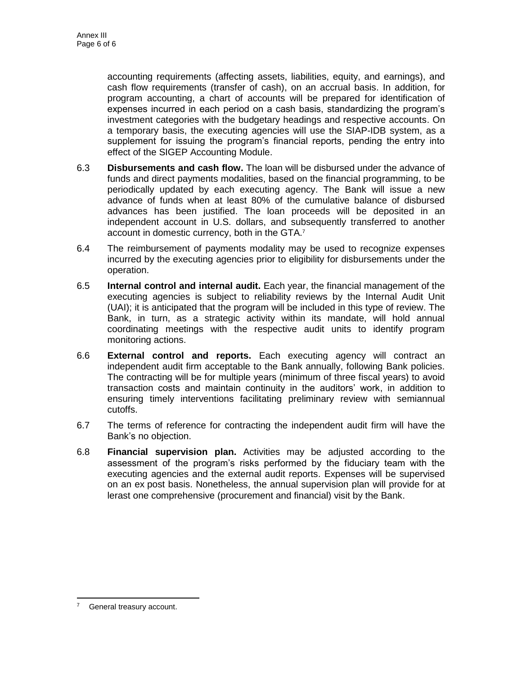accounting requirements (affecting assets, liabilities, equity, and earnings), and cash flow requirements (transfer of cash), on an accrual basis. In addition, for program accounting, a chart of accounts will be prepared for identification of expenses incurred in each period on a cash basis, standardizing the program's investment categories with the budgetary headings and respective accounts. On a temporary basis, the executing agencies will use the SIAP-IDB system, as a supplement for issuing the program's financial reports, pending the entry into effect of the SIGEP Accounting Module.

- 6.3 **Disbursements and cash flow.** The loan will be disbursed under the advance of funds and direct payments modalities, based on the financial programming, to be periodically updated by each executing agency. The Bank will issue a new advance of funds when at least 80% of the cumulative balance of disbursed advances has been justified. The loan proceeds will be deposited in an independent account in U.S. dollars, and subsequently transferred to another account in domestic currency, both in the GTA.<sup>7</sup>
- 6.4 The reimbursement of payments modality may be used to recognize expenses incurred by the executing agencies prior to eligibility for disbursements under the operation.
- 6.5 **Internal control and internal audit.** Each year, the financial management of the executing agencies is subject to reliability reviews by the Internal Audit Unit (UAI); it is anticipated that the program will be included in this type of review. The Bank, in turn, as a strategic activity within its mandate, will hold annual coordinating meetings with the respective audit units to identify program monitoring actions.
- 6.6 **External control and reports.** Each executing agency will contract an independent audit firm acceptable to the Bank annually, following Bank policies. The contracting will be for multiple years (minimum of three fiscal years) to avoid transaction costs and maintain continuity in the auditors' work, in addition to ensuring timely interventions facilitating preliminary review with semiannual cutoffs.
- 6.7 The terms of reference for contracting the independent audit firm will have the Bank's no objection.
- 6.8 **Financial supervision plan.** Activities may be adjusted according to the assessment of the program's risks performed by the fiduciary team with the executing agencies and the external audit reports. Expenses will be supervised on an ex post basis. Nonetheless, the annual supervision plan will provide for at lerast one comprehensive (procurement and financial) visit by the Bank.

<sup>7</sup> General treasury account.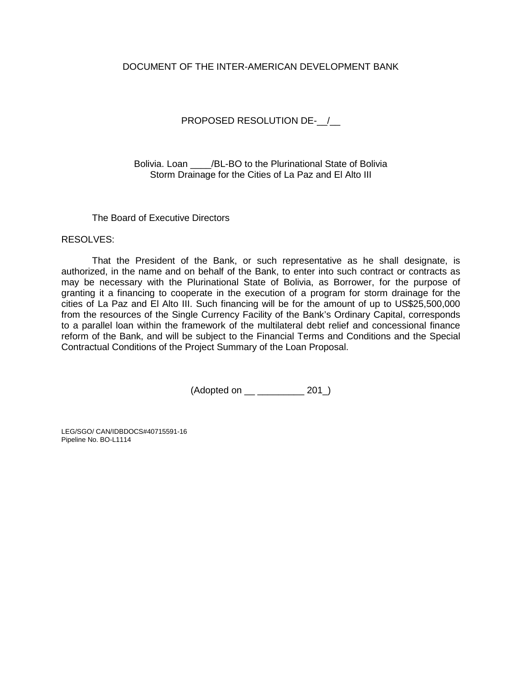## DOCUMENT OF THE INTER-AMERICAN DEVELOPMENT BANK

# PROPOSED RESOLUTION DE- /

Bolivia. Loan /BL-BO to the Plurinational State of Bolivia Storm Drainage for the Cities of La Paz and El Alto III

The Board of Executive Directors

RESOLVES:

That the President of the Bank, or such representative as he shall designate, is authorized, in the name and on behalf of the Bank, to enter into such contract or contracts as may be necessary with the Plurinational State of Bolivia, as Borrower, for the purpose of granting it a financing to cooperate in the execution of a program for storm drainage for the cities of La Paz and El Alto III. Such financing will be for the amount of up to US\$25,500,000 from the resources of the Single Currency Facility of the Bank's Ordinary Capital, corresponds to a parallel loan within the framework of the multilateral debt relief and concessional finance reform of the Bank, and will be subject to the Financial Terms and Conditions and the Special Contractual Conditions of the Project Summary of the Loan Proposal.

(Adopted on \_\_ \_\_\_\_\_\_\_\_\_ 201\_)

LEG/SGO/ CAN/IDBDOCS#40715591-16 Pipeline No. BO-L1114